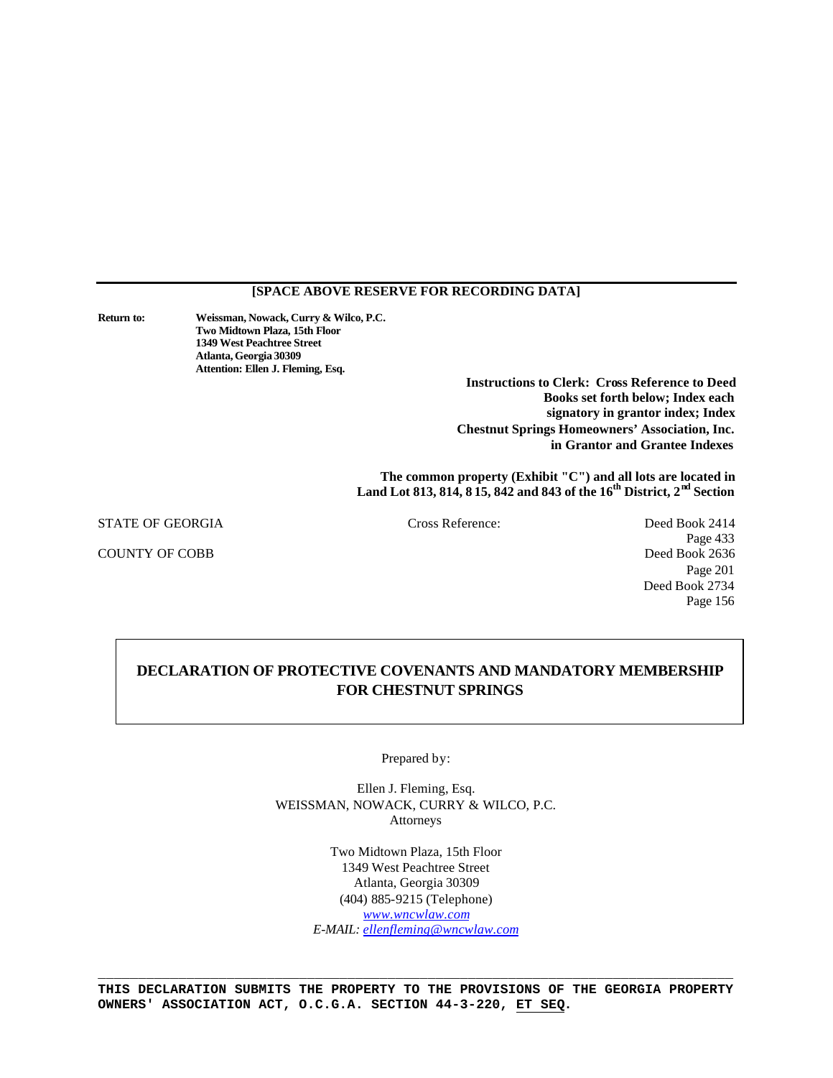# **[SPACE ABOVE RESERVE FOR RECORDING DATA]**

**Return to: Weissman, Nowack, Curry & Wilco, P.C. Two Midtown Plaza, 15th Floor 1349 West Peachtree Street Atlanta, Georgia 30309 Attention: Ellen J. Fleming, Esq.**

**Instructions to Clerk: Cross Reference to Deed Books set forth below; Index each signatory in grantor index; Index Chestnut Springs Homeowners' Association, Inc. in Grantor and Grantee Indexes**

**The common property (Exhibit "C") and all lots are located in Land Lot 813, 814, 8 15, 842 and 843 of the 16th District, 2nd Section**

STATE OF GEORGIA Cross Reference: Deed Book 2414

COUNTY OF COBB Deed Book 2636

Page 433 Page 201 Deed Book 2734 Page 156

# **DECLARATION OF PROTECTIVE COVENANTS AND MANDATORY MEMBERSHIP FOR CHESTNUT SPRINGS**

Prepared by:

Ellen J. Fleming, Esq. WEISSMAN, NOWACK, CURRY & WILCO, P.C. Attorneys

> Two Midtown Plaza, 15th Floor 1349 West Peachtree Street Atlanta, Georgia 30309 (404) 885-9215 (Telephone) *www.wncwlaw.com E-MAIL: ellenfleming@wncwlaw.com*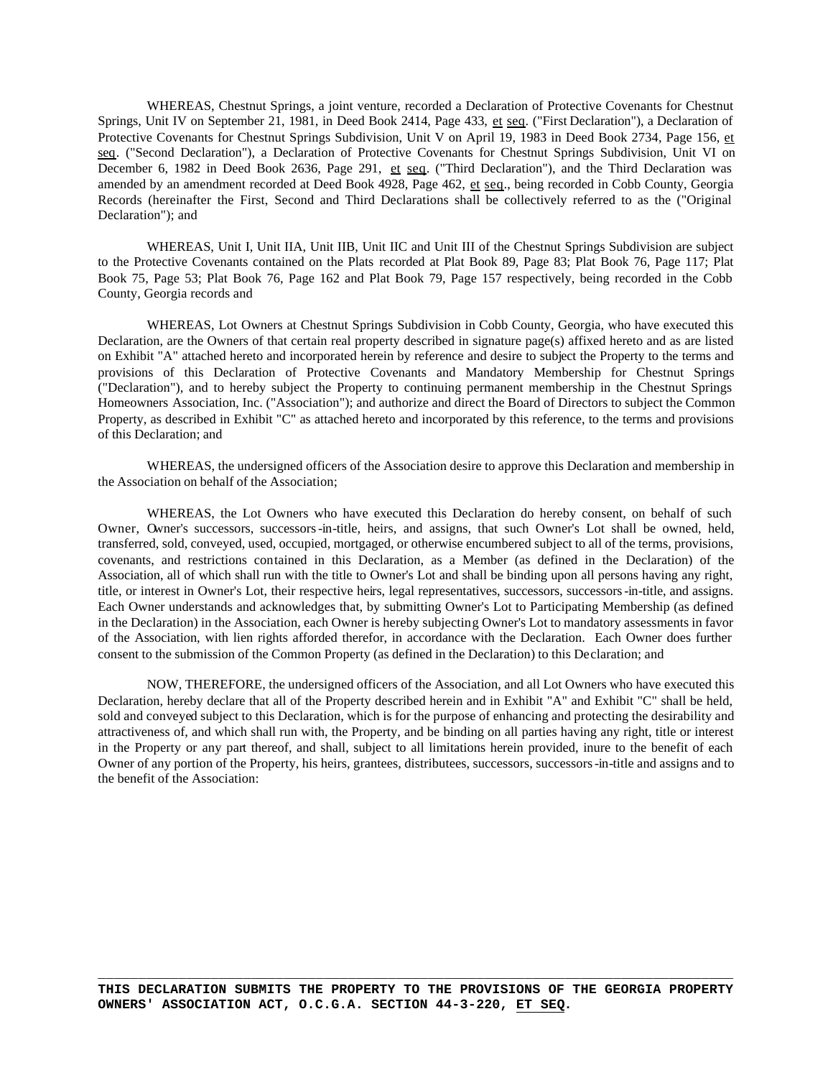WHEREAS, Chestnut Springs, a joint venture, recorded a Declaration of Protective Covenants for Chestnut Springs, Unit IV on September 21, 1981, in Deed Book 2414, Page 433, et seq. ("First Declaration"), a Declaration of Protective Covenants for Chestnut Springs Subdivision, Unit V on April 19, 1983 in Deed Book 2734, Page 156, et seq. ("Second Declaration"), a Declaration of Protective Covenants for Chestnut Springs Subdivision, Unit VI on December 6, 1982 in Deed Book 2636, Page 291, et seq. ("Third Declaration"), and the Third Declaration was amended by an amendment recorded at Deed Book 4928, Page 462, et seq., being recorded in Cobb County, Georgia Records (hereinafter the First, Second and Third Declarations shall be collectively referred to as the ("Original Declaration"); and

WHEREAS, Unit I, Unit IIA, Unit IIB, Unit IIC and Unit III of the Chestnut Springs Subdivision are subject to the Protective Covenants contained on the Plats recorded at Plat Book 89, Page 83; Plat Book 76, Page 117; Plat Book 75, Page 53; Plat Book 76, Page 162 and Plat Book 79, Page 157 respectively, being recorded in the Cobb County, Georgia records and

WHEREAS, Lot Owners at Chestnut Springs Subdivision in Cobb County, Georgia, who have executed this Declaration, are the Owners of that certain real property described in signature page(s) affixed hereto and as are listed on Exhibit "A" attached hereto and incorporated herein by reference and desire to subject the Property to the terms and provisions of this Declaration of Protective Covenants and Mandatory Membership for Chestnut Springs ("Declaration"), and to hereby subject the Property to continuing permanent membership in the Chestnut Springs Homeowners Association, Inc. ("Association"); and authorize and direct the Board of Directors to subject the Common Property, as described in Exhibit "C" as attached hereto and incorporated by this reference, to the terms and provisions of this Declaration; and

WHEREAS, the undersigned officers of the Association desire to approve this Declaration and membership in the Association on behalf of the Association;

WHEREAS, the Lot Owners who have executed this Declaration do hereby consent, on behalf of such Owner, Owner's successors, successors-in-title, heirs, and assigns, that such Owner's Lot shall be owned, held, transferred, sold, conveyed, used, occupied, mortgaged, or otherwise encumbered subject to all of the terms, provisions, covenants, and restrictions contained in this Declaration, as a Member (as defined in the Declaration) of the Association, all of which shall run with the title to Owner's Lot and shall be binding upon all persons having any right, title, or interest in Owner's Lot, their respective heirs, legal representatives, successors, successors-in-title, and assigns. Each Owner understands and acknowledges that, by submitting Owner's Lot to Participating Membership (as defined in the Declaration) in the Association, each Owner is hereby subjecting Owner's Lot to mandatory assessments in favor of the Association, with lien rights afforded therefor, in accordance with the Declaration. Each Owner does further consent to the submission of the Common Property (as defined in the Declaration) to this Declaration; and

NOW, THEREFORE, the undersigned officers of the Association, and all Lot Owners who have executed this Declaration, hereby declare that all of the Property described herein and in Exhibit "A" and Exhibit "C" shall be held, sold and conveyed subject to this Declaration, which is for the purpose of enhancing and protecting the desirability and attractiveness of, and which shall run with, the Property, and be binding on all parties having any right, title or interest in the Property or any part thereof, and shall, subject to all limitations herein provided, inure to the benefit of each Owner of any portion of the Property, his heirs, grantees, distributees, successors, successors-in-title and assigns and to the benefit of the Association: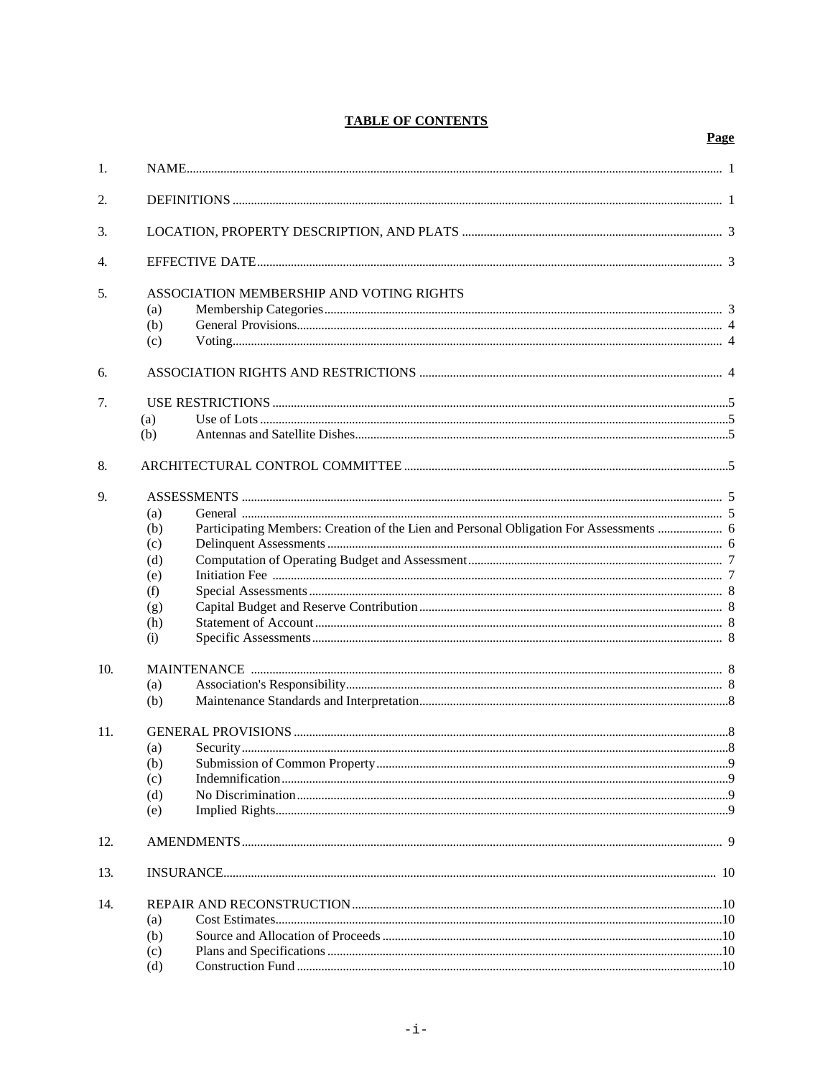# **TABLE OF CONTENTS**

Page

| 1.               |                                          |                                                                                        |  |  |  |
|------------------|------------------------------------------|----------------------------------------------------------------------------------------|--|--|--|
| 2.               |                                          |                                                                                        |  |  |  |
| 3.               |                                          |                                                                                        |  |  |  |
| $\overline{4}$ . |                                          |                                                                                        |  |  |  |
| 5.               | ASSOCIATION MEMBERSHIP AND VOTING RIGHTS |                                                                                        |  |  |  |
|                  | (a)                                      |                                                                                        |  |  |  |
|                  | (b)                                      |                                                                                        |  |  |  |
|                  | (c)                                      |                                                                                        |  |  |  |
| 6.               |                                          |                                                                                        |  |  |  |
| 7.               |                                          |                                                                                        |  |  |  |
|                  | (a)                                      |                                                                                        |  |  |  |
|                  | (b)                                      |                                                                                        |  |  |  |
| 8.               |                                          |                                                                                        |  |  |  |
| 9.               |                                          |                                                                                        |  |  |  |
|                  | (a)                                      |                                                                                        |  |  |  |
|                  | (b)                                      | Participating Members: Creation of the Lien and Personal Obligation For Assessments  6 |  |  |  |
|                  | (c)                                      |                                                                                        |  |  |  |
|                  | (d)                                      |                                                                                        |  |  |  |
|                  | (e)                                      |                                                                                        |  |  |  |
|                  | (f)                                      |                                                                                        |  |  |  |
|                  | (g)                                      |                                                                                        |  |  |  |
|                  | (h)                                      |                                                                                        |  |  |  |
|                  | (i)                                      |                                                                                        |  |  |  |
| 10.              |                                          |                                                                                        |  |  |  |
|                  | (a)                                      |                                                                                        |  |  |  |
|                  | (b)                                      |                                                                                        |  |  |  |
| 11.              |                                          |                                                                                        |  |  |  |
|                  | (a)                                      |                                                                                        |  |  |  |
|                  |                                          |                                                                                        |  |  |  |
|                  | (c)                                      |                                                                                        |  |  |  |
|                  | (d)                                      |                                                                                        |  |  |  |
|                  | (e)                                      |                                                                                        |  |  |  |
| 12.              |                                          |                                                                                        |  |  |  |
| 13.              |                                          |                                                                                        |  |  |  |
| 14.              |                                          |                                                                                        |  |  |  |
|                  | (a)                                      |                                                                                        |  |  |  |
|                  | (b)                                      |                                                                                        |  |  |  |
|                  | (c)                                      |                                                                                        |  |  |  |
|                  | (d)                                      |                                                                                        |  |  |  |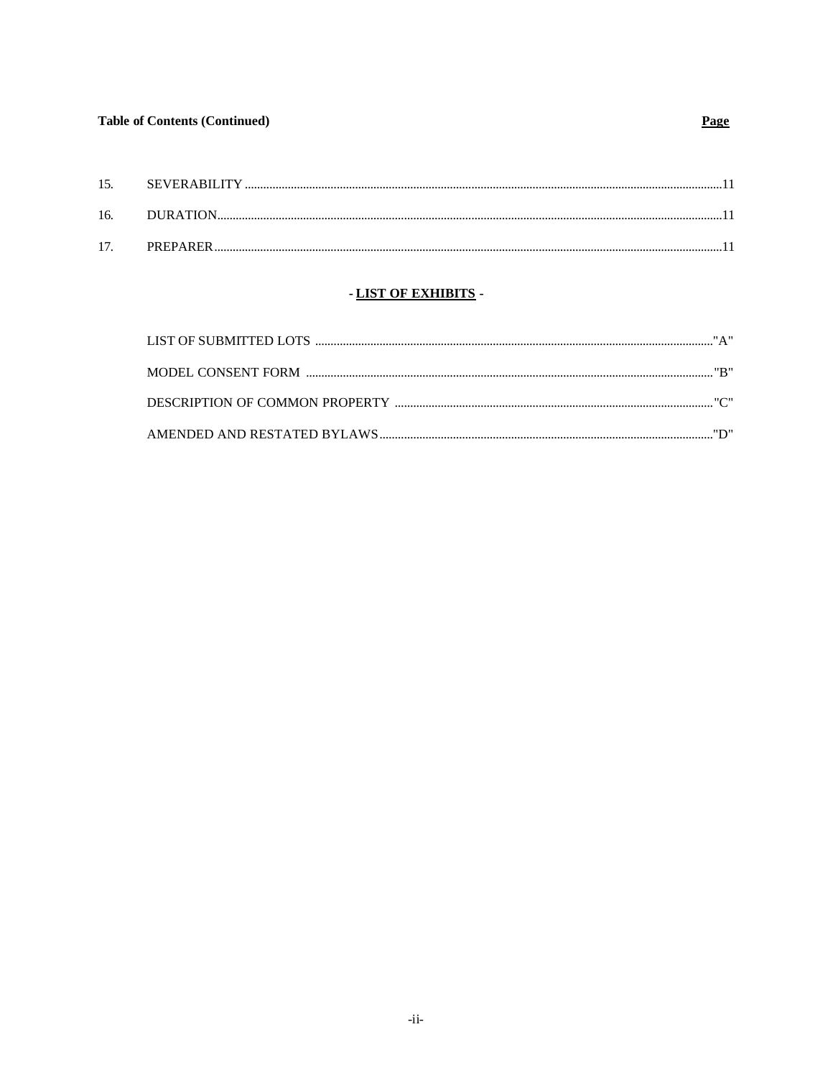# **Table of Contents (Continued)**

# Page

| 15.             |                 |  |
|-----------------|-----------------|--|
| 16.             |                 |  |
| 17 <sup>7</sup> | <b>PREPARER</b> |  |
|                 |                 |  |

# - LIST OF EXHIBITS -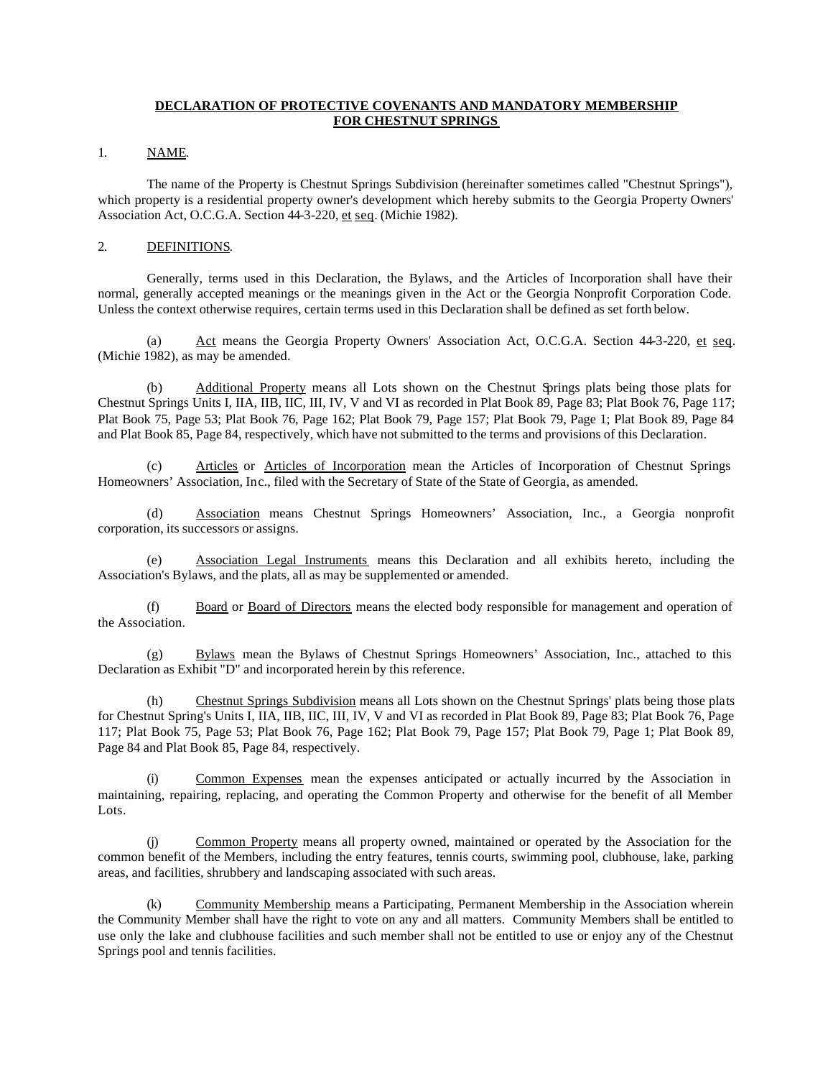### **DECLARATION OF PROTECTIVE COVENANTS AND MANDATORY MEMBERSHIP FOR CHESTNUT SPRINGS**

#### 1. NAME.

The name of the Property is Chestnut Springs Subdivision (hereinafter sometimes called "Chestnut Springs"), which property is a residential property owner's development which hereby submits to the Georgia Property Owners' Association Act, O.C.G.A. Section 44-3-220, et seq. (Michie 1982).

### 2. DEFINITIONS.

Generally, terms used in this Declaration, the Bylaws, and the Articles of Incorporation shall have their normal, generally accepted meanings or the meanings given in the Act or the Georgia Nonprofit Corporation Code. Unless the context otherwise requires, certain terms used in this Declaration shall be defined as set forth below.

Act means the Georgia Property Owners' Association Act, O.C.G.A. Section 44-3-220, et seq. (Michie 1982), as may be amended.

(b) Additional Property means all Lots shown on the Chestnut Springs plats being those plats for Chestnut Springs Units I, IIA, IIB, IIC, III, IV, V and VI as recorded in Plat Book 89, Page 83; Plat Book 76, Page 117; Plat Book 75, Page 53; Plat Book 76, Page 162; Plat Book 79, Page 157; Plat Book 79, Page 1; Plat Book 89, Page 84 and Plat Book 85, Page 84, respectively, which have not submitted to the terms and provisions of this Declaration.

(c) Articles or Articles of Incorporation mean the Articles of Incorporation of Chestnut Springs Homeowners' Association, Inc., filed with the Secretary of State of the State of Georgia, as amended.

(d) Association means Chestnut Springs Homeowners' Association, Inc., a Georgia nonprofit corporation, its successors or assigns.

(e) Association Legal Instruments means this Declaration and all exhibits hereto, including the Association's Bylaws, and the plats, all as may be supplemented or amended.

(f) Board or Board of Directors means the elected body responsible for management and operation of the Association.

(g) Bylaws mean the Bylaws of Chestnut Springs Homeowners' Association, Inc., attached to this Declaration as Exhibit "D" and incorporated herein by this reference.

(h) Chestnut Springs Subdivision means all Lots shown on the Chestnut Springs' plats being those plats for Chestnut Spring's Units I, IIA, IIB, IIC, III, IV, V and VI as recorded in Plat Book 89, Page 83; Plat Book 76, Page 117; Plat Book 75, Page 53; Plat Book 76, Page 162; Plat Book 79, Page 157; Plat Book 79, Page 1; Plat Book 89, Page 84 and Plat Book 85, Page 84, respectively.

(i) Common Expenses mean the expenses anticipated or actually incurred by the Association in maintaining, repairing, replacing, and operating the Common Property and otherwise for the benefit of all Member Lots.

(j) Common Property means all property owned, maintained or operated by the Association for the common benefit of the Members, including the entry features, tennis courts, swimming pool, clubhouse, lake, parking areas, and facilities, shrubbery and landscaping associated with such areas.

(k) Community Membership means a Participating, Permanent Membership in the Association wherein the Community Member shall have the right to vote on any and all matters. Community Members shall be entitled to use only the lake and clubhouse facilities and such member shall not be entitled to use or enjoy any of the Chestnut Springs pool and tennis facilities.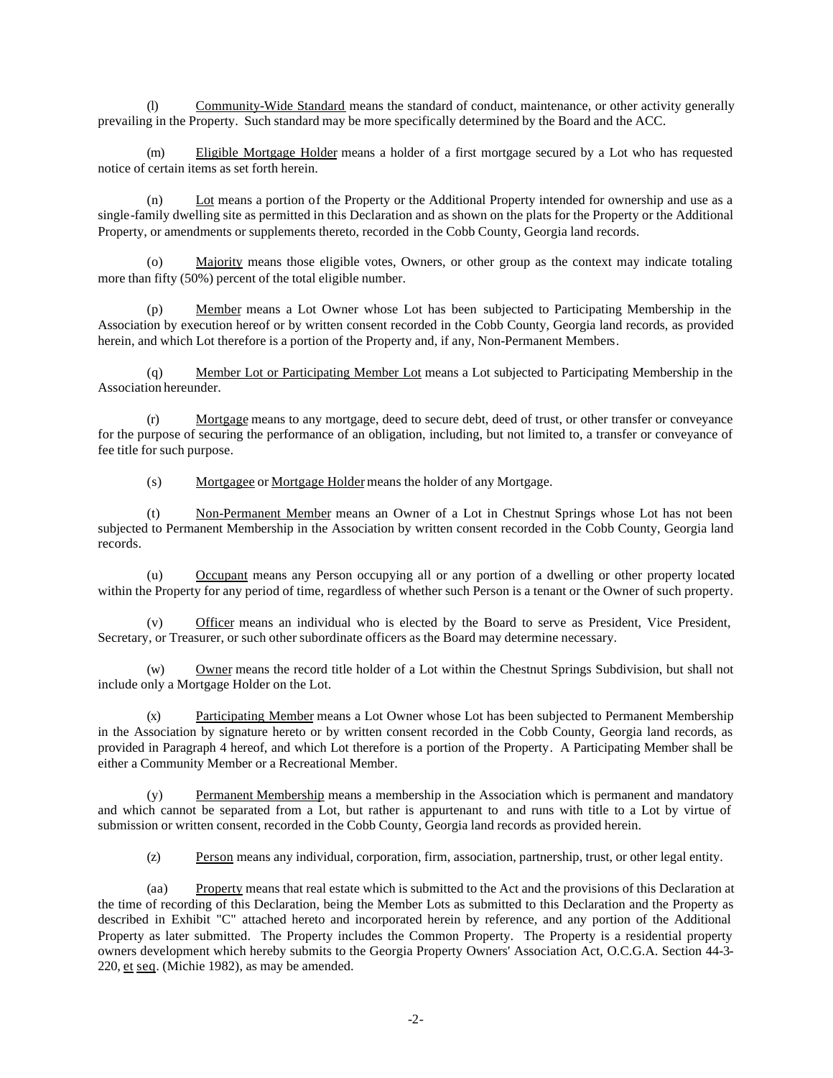(l) Community-Wide Standard means the standard of conduct, maintenance, or other activity generally prevailing in the Property. Such standard may be more specifically determined by the Board and the ACC.

(m) Eligible Mortgage Holder means a holder of a first mortgage secured by a Lot who has requested notice of certain items as set forth herein.

(n) Lot means a portion of the Property or the Additional Property intended for ownership and use as a single-family dwelling site as permitted in this Declaration and as shown on the plats for the Property or the Additional Property, or amendments or supplements thereto, recorded in the Cobb County, Georgia land records.

Majority means those eligible votes, Owners, or other group as the context may indicate totaling more than fifty (50%) percent of the total eligible number.

(p) Member means a Lot Owner whose Lot has been subjected to Participating Membership in the Association by execution hereof or by written consent recorded in the Cobb County, Georgia land records, as provided herein, and which Lot therefore is a portion of the Property and, if any, Non-Permanent Members.

(q) Member Lot or Participating Member Lot means a Lot subjected to Participating Membership in the Association hereunder.

(r) Mortgage means to any mortgage, deed to secure debt, deed of trust, or other transfer or conveyance for the purpose of securing the performance of an obligation, including, but not limited to, a transfer or conveyance of fee title for such purpose.

(s) Mortgagee or Mortgage Holder means the holder of any Mortgage.

(t) Non-Permanent Member means an Owner of a Lot in Chestnut Springs whose Lot has not been subjected to Permanent Membership in the Association by written consent recorded in the Cobb County, Georgia land records.

(u) Occupant means any Person occupying all or any portion of a dwelling or other property located within the Property for any period of time, regardless of whether such Person is a tenant or the Owner of such property.

(v) Officer means an individual who is elected by the Board to serve as President, Vice President, Secretary, or Treasurer, or such other subordinate officers as the Board may determine necessary.

(w) Owner means the record title holder of a Lot within the Chestnut Springs Subdivision, but shall not include only a Mortgage Holder on the Lot.

(x) Participating Member means a Lot Owner whose Lot has been subjected to Permanent Membership in the Association by signature hereto or by written consent recorded in the Cobb County, Georgia land records, as provided in Paragraph 4 hereof, and which Lot therefore is a portion of the Property. A Participating Member shall be either a Community Member or a Recreational Member.

(y) Permanent Membership means a membership in the Association which is permanent and mandatory and which cannot be separated from a Lot, but rather is appurtenant to and runs with title to a Lot by virtue of submission or written consent, recorded in the Cobb County, Georgia land records as provided herein.

(z) Person means any individual, corporation, firm, association, partnership, trust, or other legal entity.

(aa) Property means that real estate which is submitted to the Act and the provisions of this Declaration at the time of recording of this Declaration, being the Member Lots as submitted to this Declaration and the Property as described in Exhibit "C" attached hereto and incorporated herein by reference, and any portion of the Additional Property as later submitted. The Property includes the Common Property. The Property is a residential property owners development which hereby submits to the Georgia Property Owners' Association Act, O.C.G.A. Section 44-3- 220, et seq. (Michie 1982), as may be amended.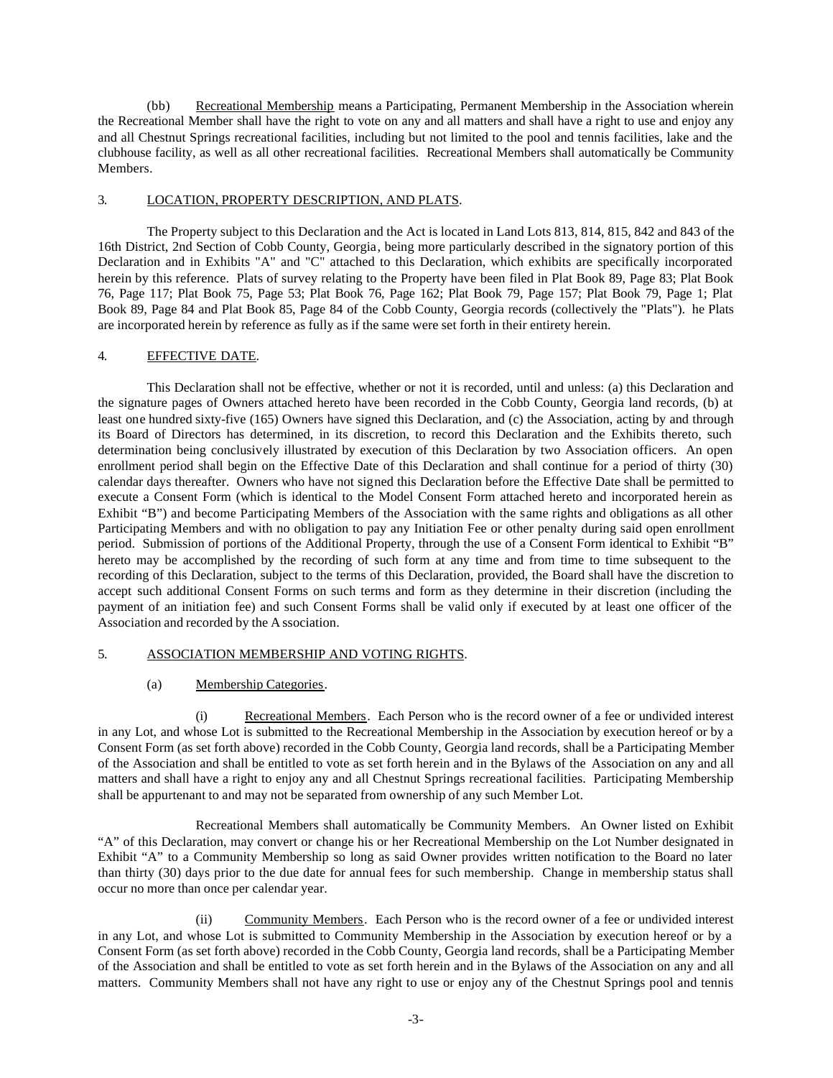(bb) Recreational Membership means a Participating, Permanent Membership in the Association wherein the Recreational Member shall have the right to vote on any and all matters and shall have a right to use and enjoy any and all Chestnut Springs recreational facilities, including but not limited to the pool and tennis facilities, lake and the clubhouse facility, as well as all other recreational facilities. Recreational Members shall automatically be Community Members.

#### 3. LOCATION, PROPERTY DESCRIPTION, AND PLATS.

The Property subject to this Declaration and the Act is located in Land Lots 813, 814, 815, 842 and 843 of the 16th District, 2nd Section of Cobb County, Georgia, being more particularly described in the signatory portion of this Declaration and in Exhibits "A" and "C" attached to this Declaration, which exhibits are specifically incorporated herein by this reference. Plats of survey relating to the Property have been filed in Plat Book 89, Page 83; Plat Book 76, Page 117; Plat Book 75, Page 53; Plat Book 76, Page 162; Plat Book 79, Page 157; Plat Book 79, Page 1; Plat Book 89, Page 84 and Plat Book 85, Page 84 of the Cobb County, Georgia records (collectively the "Plats"). he Plats are incorporated herein by reference as fully as if the same were set forth in their entirety herein.

### 4. EFFECTIVE DATE.

This Declaration shall not be effective, whether or not it is recorded, until and unless: (a) this Declaration and the signature pages of Owners attached hereto have been recorded in the Cobb County, Georgia land records, (b) at least one hundred sixty-five (165) Owners have signed this Declaration, and (c) the Association, acting by and through its Board of Directors has determined, in its discretion, to record this Declaration and the Exhibits thereto, such determination being conclusively illustrated by execution of this Declaration by two Association officers. An open enrollment period shall begin on the Effective Date of this Declaration and shall continue for a period of thirty (30) calendar days thereafter. Owners who have not signed this Declaration before the Effective Date shall be permitted to execute a Consent Form (which is identical to the Model Consent Form attached hereto and incorporated herein as Exhibit "B") and become Participating Members of the Association with the same rights and obligations as all other Participating Members and with no obligation to pay any Initiation Fee or other penalty during said open enrollment period. Submission of portions of the Additional Property, through the use of a Consent Form identical to Exhibit "B" hereto may be accomplished by the recording of such form at any time and from time to time subsequent to the recording of this Declaration, subject to the terms of this Declaration, provided, the Board shall have the discretion to accept such additional Consent Forms on such terms and form as they determine in their discretion (including the payment of an initiation fee) and such Consent Forms shall be valid only if executed by at least one officer of the Association and recorded by the A ssociation.

# 5. ASSOCIATION MEMBERSHIP AND VOTING RIGHTS.

# (a) Membership Categories.

(i) Recreational Members. Each Person who is the record owner of a fee or undivided interest in any Lot, and whose Lot is submitted to the Recreational Membership in the Association by execution hereof or by a Consent Form (as set forth above) recorded in the Cobb County, Georgia land records, shall be a Participating Member of the Association and shall be entitled to vote as set forth herein and in the Bylaws of the Association on any and all matters and shall have a right to enjoy any and all Chestnut Springs recreational facilities. Participating Membership shall be appurtenant to and may not be separated from ownership of any such Member Lot.

Recreational Members shall automatically be Community Members. An Owner listed on Exhibit "A" of this Declaration, may convert or change his or her Recreational Membership on the Lot Number designated in Exhibit "A" to a Community Membership so long as said Owner provides written notification to the Board no later than thirty (30) days prior to the due date for annual fees for such membership. Change in membership status shall occur no more than once per calendar year.

(ii) Community Members. Each Person who is the record owner of a fee or undivided interest in any Lot, and whose Lot is submitted to Community Membership in the Association by execution hereof or by a Consent Form (as set forth above) recorded in the Cobb County, Georgia land records, shall be a Participating Member of the Association and shall be entitled to vote as set forth herein and in the Bylaws of the Association on any and all matters. Community Members shall not have any right to use or enjoy any of the Chestnut Springs pool and tennis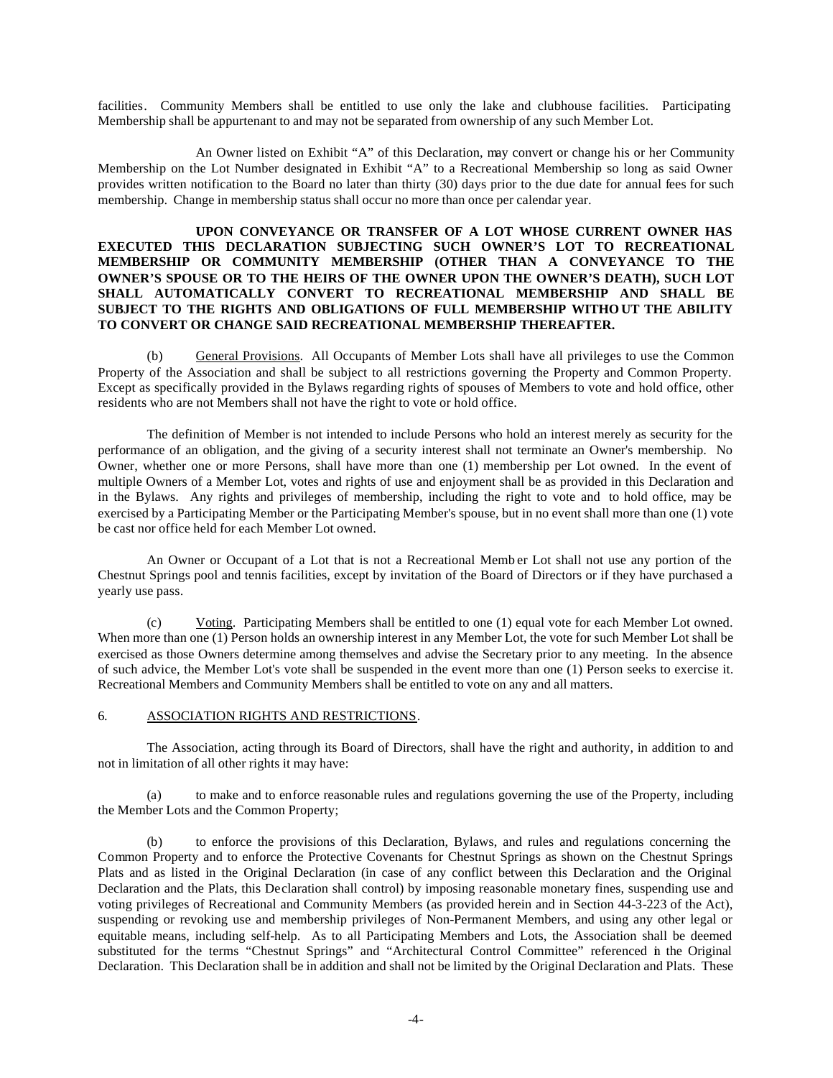facilities. Community Members shall be entitled to use only the lake and clubhouse facilities. Participating Membership shall be appurtenant to and may not be separated from ownership of any such Member Lot.

An Owner listed on Exhibit "A" of this Declaration, may convert or change his or her Community Membership on the Lot Number designated in Exhibit "A" to a Recreational Membership so long as said Owner provides written notification to the Board no later than thirty (30) days prior to the due date for annual fees for such membership. Change in membership status shall occur no more than once per calendar year.

### **UPON CONVEYANCE OR TRANSFER OF A LOT WHOSE CURRENT OWNER HAS EXECUTED THIS DECLARATION SUBJECTING SUCH OWNER'S LOT TO RECREATIONAL MEMBERSHIP OR COMMUNITY MEMBERSHIP (OTHER THAN A CONVEYANCE TO THE OWNER'S SPOUSE OR TO THE HEIRS OF THE OWNER UPON THE OWNER'S DEATH), SUCH LOT SHALL AUTOMATICALLY CONVERT TO RECREATIONAL MEMBERSHIP AND SHALL BE SUBJECT TO THE RIGHTS AND OBLIGATIONS OF FULL MEMBERSHIP WITHOUT THE ABILITY TO CONVERT OR CHANGE SAID RECREATIONAL MEMBERSHIP THEREAFTER.**

(b) General Provisions. All Occupants of Member Lots shall have all privileges to use the Common Property of the Association and shall be subject to all restrictions governing the Property and Common Property. Except as specifically provided in the Bylaws regarding rights of spouses of Members to vote and hold office, other residents who are not Members shall not have the right to vote or hold office.

The definition of Member is not intended to include Persons who hold an interest merely as security for the performance of an obligation, and the giving of a security interest shall not terminate an Owner's membership. No Owner, whether one or more Persons, shall have more than one (1) membership per Lot owned. In the event of multiple Owners of a Member Lot, votes and rights of use and enjoyment shall be as provided in this Declaration and in the Bylaws. Any rights and privileges of membership, including the right to vote and to hold office, may be exercised by a Participating Member or the Participating Member's spouse, but in no event shall more than one (1) vote be cast nor office held for each Member Lot owned.

An Owner or Occupant of a Lot that is not a Recreational Memb er Lot shall not use any portion of the Chestnut Springs pool and tennis facilities, except by invitation of the Board of Directors or if they have purchased a yearly use pass.

(c) Voting. Participating Members shall be entitled to one (1) equal vote for each Member Lot owned. When more than one (1) Person holds an ownership interest in any Member Lot, the vote for such Member Lot shall be exercised as those Owners determine among themselves and advise the Secretary prior to any meeting. In the absence of such advice, the Member Lot's vote shall be suspended in the event more than one (1) Person seeks to exercise it. Recreational Members and Community Members shall be entitled to vote on any and all matters.

#### 6. ASSOCIATION RIGHTS AND RESTRICTIONS.

The Association, acting through its Board of Directors, shall have the right and authority, in addition to and not in limitation of all other rights it may have:

(a) to make and to enforce reasonable rules and regulations governing the use of the Property, including the Member Lots and the Common Property;

(b) to enforce the provisions of this Declaration, Bylaws, and rules and regulations concerning the Common Property and to enforce the Protective Covenants for Chestnut Springs as shown on the Chestnut Springs Plats and as listed in the Original Declaration (in case of any conflict between this Declaration and the Original Declaration and the Plats, this Declaration shall control) by imposing reasonable monetary fines, suspending use and voting privileges of Recreational and Community Members (as provided herein and in Section 44-3-223 of the Act), suspending or revoking use and membership privileges of Non-Permanent Members, and using any other legal or equitable means, including self-help. As to all Participating Members and Lots, the Association shall be deemed substituted for the terms "Chestnut Springs" and "Architectural Control Committee" referenced in the Original Declaration. This Declaration shall be in addition and shall not be limited by the Original Declaration and Plats. These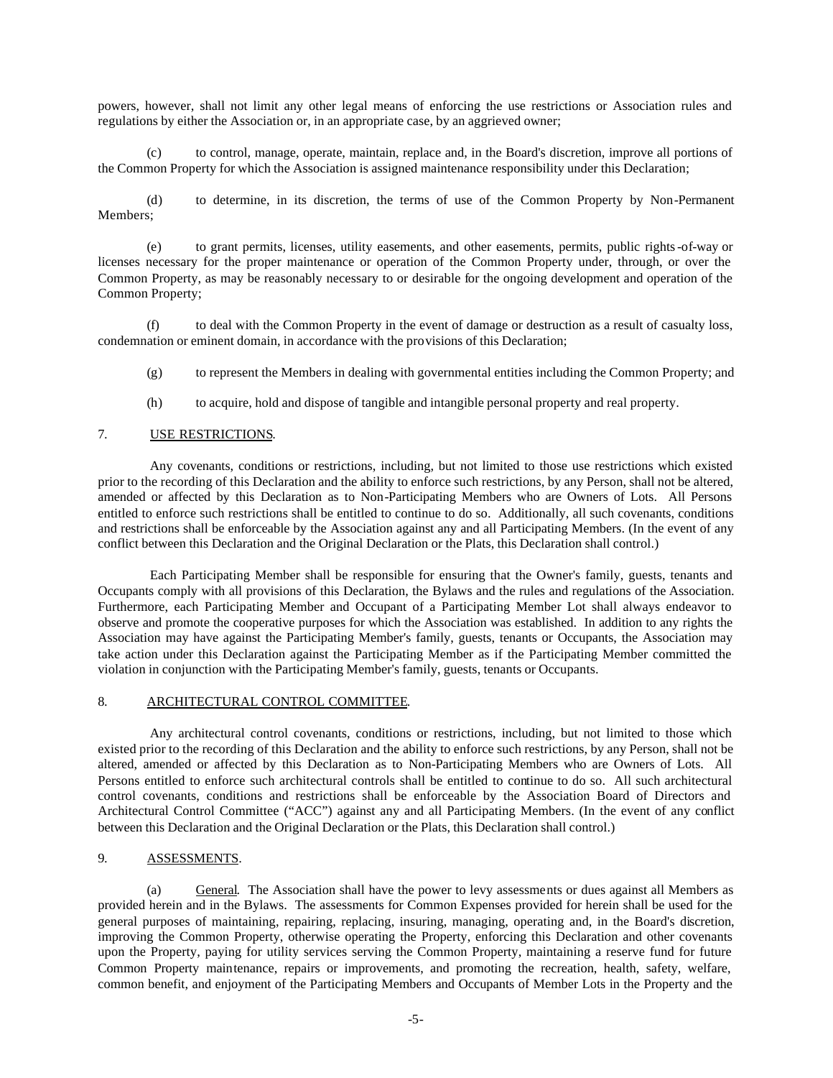powers, however, shall not limit any other legal means of enforcing the use restrictions or Association rules and regulations by either the Association or, in an appropriate case, by an aggrieved owner;

(c) to control, manage, operate, maintain, replace and, in the Board's discretion, improve all portions of the Common Property for which the Association is assigned maintenance responsibility under this Declaration;

(d) to determine, in its discretion, the terms of use of the Common Property by Non-Permanent Members;

(e) to grant permits, licenses, utility easements, and other easements, permits, public rights-of-way or licenses necessary for the proper maintenance or operation of the Common Property under, through, or over the Common Property, as may be reasonably necessary to or desirable for the ongoing development and operation of the Common Property;

(f) to deal with the Common Property in the event of damage or destruction as a result of casualty loss, condemnation or eminent domain, in accordance with the provisions of this Declaration;

- (g) to represent the Members in dealing with governmental entities including the Common Property; and
- (h) to acquire, hold and dispose of tangible and intangible personal property and real property.

#### 7. USE RESTRICTIONS.

Any covenants, conditions or restrictions, including, but not limited to those use restrictions which existed prior to the recording of this Declaration and the ability to enforce such restrictions, by any Person, shall not be altered, amended or affected by this Declaration as to Non-Participating Members who are Owners of Lots. All Persons entitled to enforce such restrictions shall be entitled to continue to do so. Additionally, all such covenants, conditions and restrictions shall be enforceable by the Association against any and all Participating Members. (In the event of any conflict between this Declaration and the Original Declaration or the Plats, this Declaration shall control.)

Each Participating Member shall be responsible for ensuring that the Owner's family, guests, tenants and Occupants comply with all provisions of this Declaration, the Bylaws and the rules and regulations of the Association. Furthermore, each Participating Member and Occupant of a Participating Member Lot shall always endeavor to observe and promote the cooperative purposes for which the Association was established. In addition to any rights the Association may have against the Participating Member's family, guests, tenants or Occupants, the Association may take action under this Declaration against the Participating Member as if the Participating Member committed the violation in conjunction with the Participating Member's family, guests, tenants or Occupants.

#### 8. ARCHITECTURAL CONTROL COMMITTEE.

Any architectural control covenants, conditions or restrictions, including, but not limited to those which existed prior to the recording of this Declaration and the ability to enforce such restrictions, by any Person, shall not be altered, amended or affected by this Declaration as to Non-Participating Members who are Owners of Lots. All Persons entitled to enforce such architectural controls shall be entitled to continue to do so. All such architectural control covenants, conditions and restrictions shall be enforceable by the Association Board of Directors and Architectural Control Committee ("ACC") against any and all Participating Members. (In the event of any conflict between this Declaration and the Original Declaration or the Plats, this Declaration shall control.)

#### 9. ASSESSMENTS.

(a) General. The Association shall have the power to levy assessments or dues against all Members as provided herein and in the Bylaws. The assessments for Common Expenses provided for herein shall be used for the general purposes of maintaining, repairing, replacing, insuring, managing, operating and, in the Board's discretion, improving the Common Property, otherwise operating the Property, enforcing this Declaration and other covenants upon the Property, paying for utility services serving the Common Property, maintaining a reserve fund for future Common Property maintenance, repairs or improvements, and promoting the recreation, health, safety, welfare, common benefit, and enjoyment of the Participating Members and Occupants of Member Lots in the Property and the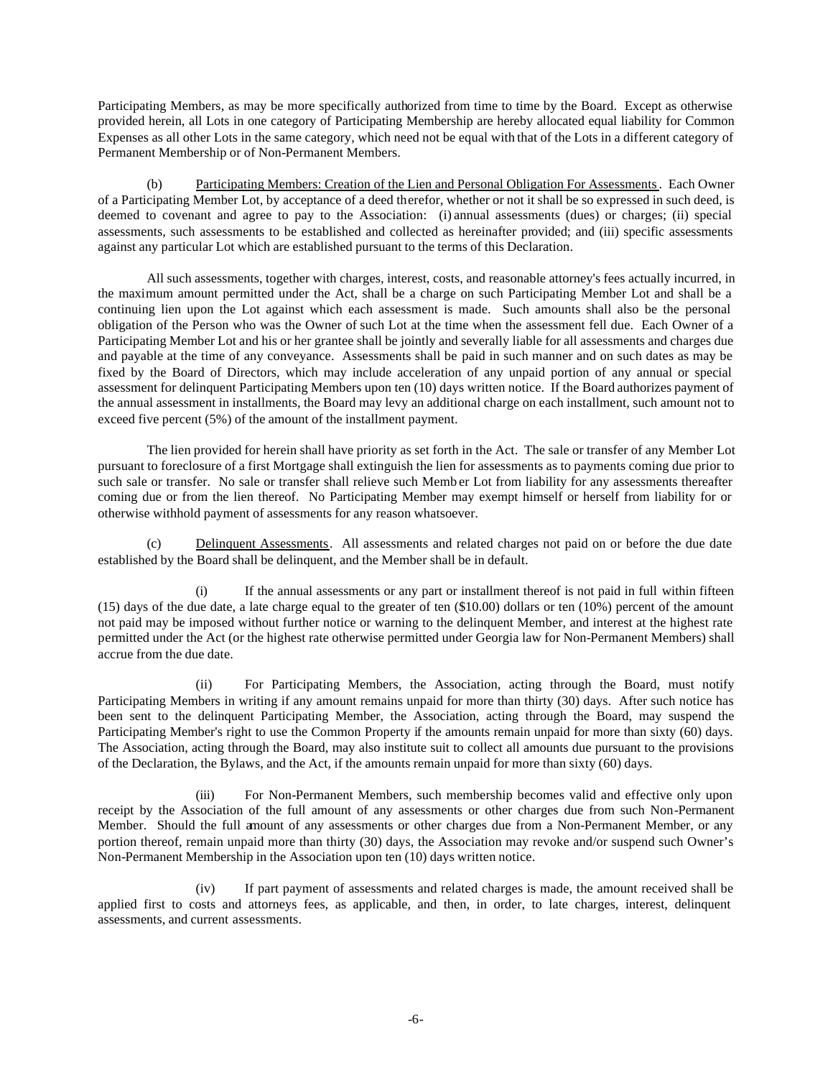Participating Members, as may be more specifically authorized from time to time by the Board. Except as otherwise provided herein, all Lots in one category of Participating Membership are hereby allocated equal liability for Common Expenses as all other Lots in the same category, which need not be equal with that of the Lots in a different category of Permanent Membership or of Non-Permanent Members.

(b) Participating Members: Creation of the Lien and Personal Obligation For Assessments. Each Owner of a Participating Member Lot, by acceptance of a deed therefor, whether or not it shall be so expressed in such deed, is deemed to covenant and agree to pay to the Association: (i) annual assessments (dues) or charges; (ii) special assessments, such assessments to be established and collected as hereinafter provided; and (iii) specific assessments against any particular Lot which are established pursuant to the terms of this Declaration.

All such assessments, together with charges, interest, costs, and reasonable attorney's fees actually incurred, in the maximum amount permitted under the Act, shall be a charge on such Participating Member Lot and shall be a continuing lien upon the Lot against which each assessment is made. Such amounts shall also be the personal obligation of the Person who was the Owner of such Lot at the time when the assessment fell due. Each Owner of a Participating Member Lot and his or her grantee shall be jointly and severally liable for all assessments and charges due and payable at the time of any conveyance. Assessments shall be paid in such manner and on such dates as may be fixed by the Board of Directors, which may include acceleration of any unpaid portion of any annual or special assessment for delinquent Participating Members upon ten (10) days written notice. If the Board authorizes payment of the annual assessment in installments, the Board may levy an additional charge on each installment, such amount not to exceed five percent (5%) of the amount of the installment payment.

The lien provided for herein shall have priority as set forth in the Act. The sale or transfer of any Member Lot pursuant to foreclosure of a first Mortgage shall extinguish the lien for assessments as to payments coming due prior to such sale or transfer. No sale or transfer shall relieve such Memb er Lot from liability for any assessments thereafter coming due or from the lien thereof. No Participating Member may exempt himself or herself from liability for or otherwise withhold payment of assessments for any reason whatsoever.

(c) Delinquent Assessments. All assessments and related charges not paid on or before the due date established by the Board shall be delinquent, and the Member shall be in default.

(i) If the annual assessments or any part or installment thereof is not paid in full within fifteen (15) days of the due date, a late charge equal to the greater of ten (\$10.00) dollars or ten (10%) percent of the amount not paid may be imposed without further notice or warning to the delinquent Member, and interest at the highest rate permitted under the Act (or the highest rate otherwise permitted under Georgia law for Non-Permanent Members) shall accrue from the due date.

(ii) For Participating Members, the Association, acting through the Board, must notify Participating Members in writing if any amount remains unpaid for more than thirty (30) days. After such notice has been sent to the delinquent Participating Member, the Association, acting through the Board, may suspend the Participating Member's right to use the Common Property if the amounts remain unpaid for more than sixty (60) days. The Association, acting through the Board, may also institute suit to collect all amounts due pursuant to the provisions of the Declaration, the Bylaws, and the Act, if the amounts remain unpaid for more than sixty (60) days.

(iii) For Non-Permanent Members, such membership becomes valid and effective only upon receipt by the Association of the full amount of any assessments or other charges due from such Non-Permanent Member. Should the full amount of any assessments or other charges due from a Non-Permanent Member, or any portion thereof, remain unpaid more than thirty (30) days, the Association may revoke and/or suspend such Owner's Non-Permanent Membership in the Association upon ten (10) days written notice.

(iv) If part payment of assessments and related charges is made, the amount received shall be applied first to costs and attorneys fees, as applicable, and then, in order, to late charges, interest, delinquent assessments, and current assessments.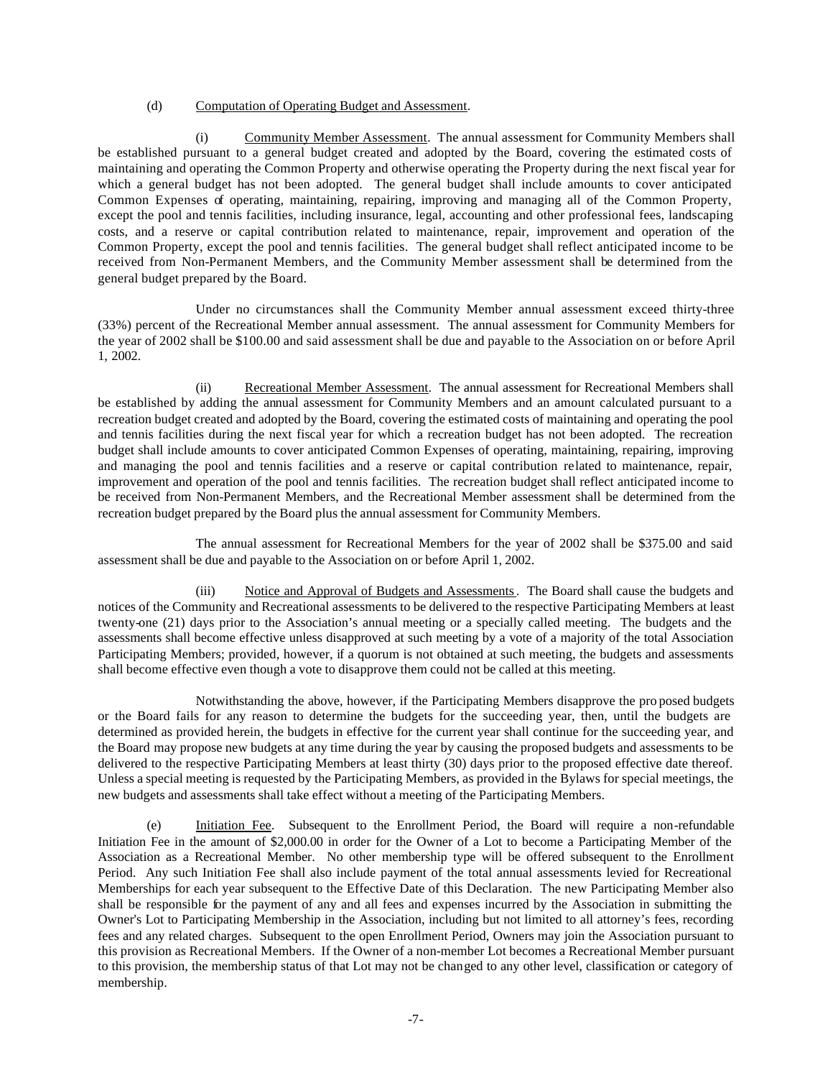#### (d) Computation of Operating Budget and Assessment.

(i) Community Member Assessment. The annual assessment for Community Members shall be established pursuant to a general budget created and adopted by the Board, covering the estimated costs of maintaining and operating the Common Property and otherwise operating the Property during the next fiscal year for which a general budget has not been adopted. The general budget shall include amounts to cover anticipated Common Expenses of operating, maintaining, repairing, improving and managing all of the Common Property, except the pool and tennis facilities, including insurance, legal, accounting and other professional fees, landscaping costs, and a reserve or capital contribution related to maintenance, repair, improvement and operation of the Common Property, except the pool and tennis facilities. The general budget shall reflect anticipated income to be received from Non-Permanent Members, and the Community Member assessment shall be determined from the general budget prepared by the Board.

Under no circumstances shall the Community Member annual assessment exceed thirty-three (33%) percent of the Recreational Member annual assessment. The annual assessment for Community Members for the year of 2002 shall be \$100.00 and said assessment shall be due and payable to the Association on or before April 1, 2002.

(ii) Recreational Member Assessment. The annual assessment for Recreational Members shall be established by adding the annual assessment for Community Members and an amount calculated pursuant to a recreation budget created and adopted by the Board, covering the estimated costs of maintaining and operating the pool and tennis facilities during the next fiscal year for which a recreation budget has not been adopted. The recreation budget shall include amounts to cover anticipated Common Expenses of operating, maintaining, repairing, improving and managing the pool and tennis facilities and a reserve or capital contribution related to maintenance, repair, improvement and operation of the pool and tennis facilities. The recreation budget shall reflect anticipated income to be received from Non-Permanent Members, and the Recreational Member assessment shall be determined from the recreation budget prepared by the Board plus the annual assessment for Community Members.

The annual assessment for Recreational Members for the year of 2002 shall be \$375.00 and said assessment shall be due and payable to the Association on or before April 1, 2002.

(iii) Notice and Approval of Budgets and Assessments. The Board shall cause the budgets and notices of the Community and Recreational assessments to be delivered to the respective Participating Members at least twenty-one (21) days prior to the Association's annual meeting or a specially called meeting. The budgets and the assessments shall become effective unless disapproved at such meeting by a vote of a majority of the total Association Participating Members; provided, however, if a quorum is not obtained at such meeting, the budgets and assessments shall become effective even though a vote to disapprove them could not be called at this meeting.

Notwithstanding the above, however, if the Participating Members disapprove the pro posed budgets or the Board fails for any reason to determine the budgets for the succeeding year, then, until the budgets are determined as provided herein, the budgets in effective for the current year shall continue for the succeeding year, and the Board may propose new budgets at any time during the year by causing the proposed budgets and assessments to be delivered to the respective Participating Members at least thirty (30) days prior to the proposed effective date thereof. Unless a special meeting is requested by the Participating Members, as provided in the Bylaws for special meetings, the new budgets and assessments shall take effect without a meeting of the Participating Members.

(e) Initiation Fee. Subsequent to the Enrollment Period, the Board will require a non-refundable Initiation Fee in the amount of \$2,000.00 in order for the Owner of a Lot to become a Participating Member of the Association as a Recreational Member. No other membership type will be offered subsequent to the Enrollment Period. Any such Initiation Fee shall also include payment of the total annual assessments levied for Recreational Memberships for each year subsequent to the Effective Date of this Declaration. The new Participating Member also shall be responsible for the payment of any and all fees and expenses incurred by the Association in submitting the Owner's Lot to Participating Membership in the Association, including but not limited to all attorney's fees, recording fees and any related charges. Subsequent to the open Enrollment Period, Owners may join the Association pursuant to this provision as Recreational Members. If the Owner of a non-member Lot becomes a Recreational Member pursuant to this provision, the membership status of that Lot may not be changed to any other level, classification or category of membership.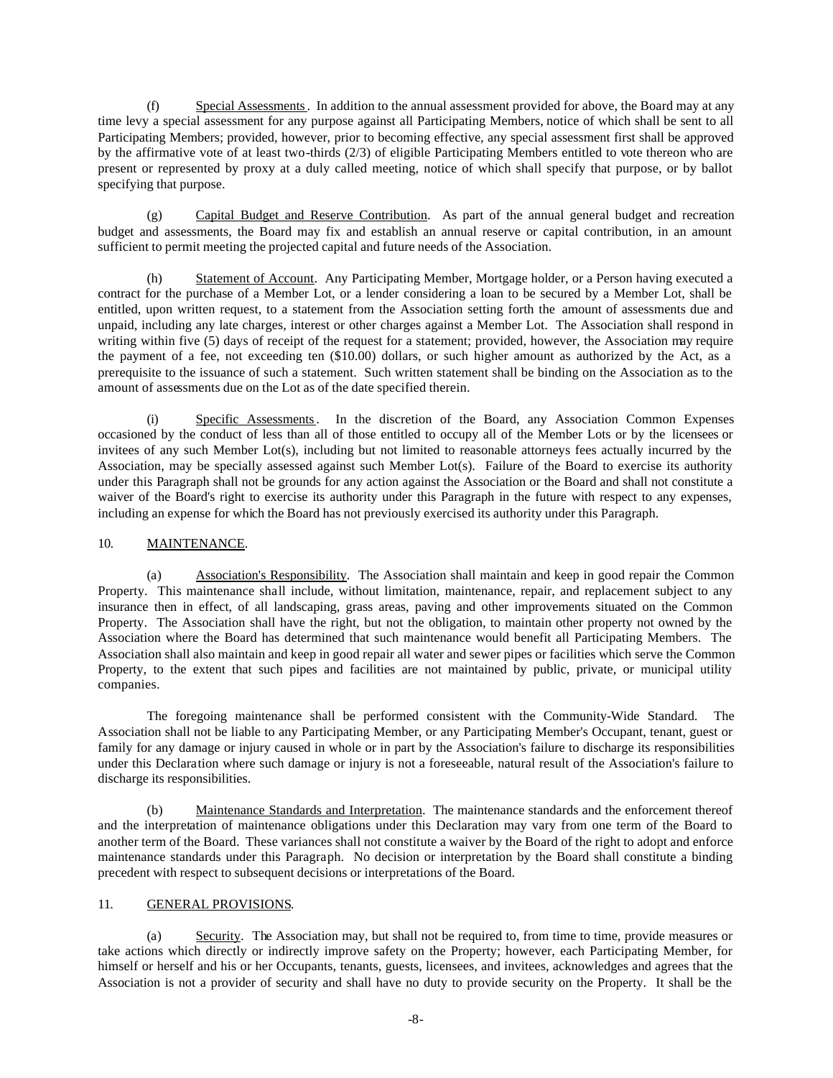(f) Special Assessments. In addition to the annual assessment provided for above, the Board may at any time levy a special assessment for any purpose against all Participating Members, notice of which shall be sent to all Participating Members; provided, however, prior to becoming effective, any special assessment first shall be approved by the affirmative vote of at least two-thirds (2/3) of eligible Participating Members entitled to vote thereon who are present or represented by proxy at a duly called meeting, notice of which shall specify that purpose, or by ballot specifying that purpose.

(g) Capital Budget and Reserve Contribution. As part of the annual general budget and recreation budget and assessments, the Board may fix and establish an annual reserve or capital contribution, in an amount sufficient to permit meeting the projected capital and future needs of the Association.

(h) Statement of Account. Any Participating Member, Mortgage holder, or a Person having executed a contract for the purchase of a Member Lot, or a lender considering a loan to be secured by a Member Lot, shall be entitled, upon written request, to a statement from the Association setting forth the amount of assessments due and unpaid, including any late charges, interest or other charges against a Member Lot. The Association shall respond in writing within five (5) days of receipt of the request for a statement; provided, however, the Association may require the payment of a fee, not exceeding ten (\$10.00) dollars, or such higher amount as authorized by the Act, as a prerequisite to the issuance of such a statement. Such written statement shall be binding on the Association as to the amount of assessments due on the Lot as of the date specified therein.

(i) Specific Assessments. In the discretion of the Board, any Association Common Expenses occasioned by the conduct of less than all of those entitled to occupy all of the Member Lots or by the licensees or invitees of any such Member Lot(s), including but not limited to reasonable attorneys fees actually incurred by the Association, may be specially assessed against such Member Lot(s). Failure of the Board to exercise its authority under this Paragraph shall not be grounds for any action against the Association or the Board and shall not constitute a waiver of the Board's right to exercise its authority under this Paragraph in the future with respect to any expenses, including an expense for which the Board has not previously exercised its authority under this Paragraph.

## 10. MAINTENANCE.

(a) Association's Responsibility. The Association shall maintain and keep in good repair the Common Property. This maintenance shall include, without limitation, maintenance, repair, and replacement subject to any insurance then in effect, of all landscaping, grass areas, paving and other improvements situated on the Common Property. The Association shall have the right, but not the obligation, to maintain other property not owned by the Association where the Board has determined that such maintenance would benefit all Participating Members. The Association shall also maintain and keep in good repair all water and sewer pipes or facilities which serve the Common Property, to the extent that such pipes and facilities are not maintained by public, private, or municipal utility companies.

The foregoing maintenance shall be performed consistent with the Community-Wide Standard. The Association shall not be liable to any Participating Member, or any Participating Member's Occupant, tenant, guest or family for any damage or injury caused in whole or in part by the Association's failure to discharge its responsibilities under this Declaration where such damage or injury is not a foreseeable, natural result of the Association's failure to discharge its responsibilities.

(b) Maintenance Standards and Interpretation. The maintenance standards and the enforcement thereof and the interpretation of maintenance obligations under this Declaration may vary from one term of the Board to another term of the Board. These variances shall not constitute a waiver by the Board of the right to adopt and enforce maintenance standards under this Paragraph. No decision or interpretation by the Board shall constitute a binding precedent with respect to subsequent decisions or interpretations of the Board.

# 11. GENERAL PROVISIONS.

(a) Security. The Association may, but shall not be required to, from time to time, provide measures or take actions which directly or indirectly improve safety on the Property; however, each Participating Member, for himself or herself and his or her Occupants, tenants, guests, licensees, and invitees, acknowledges and agrees that the Association is not a provider of security and shall have no duty to provide security on the Property. It shall be the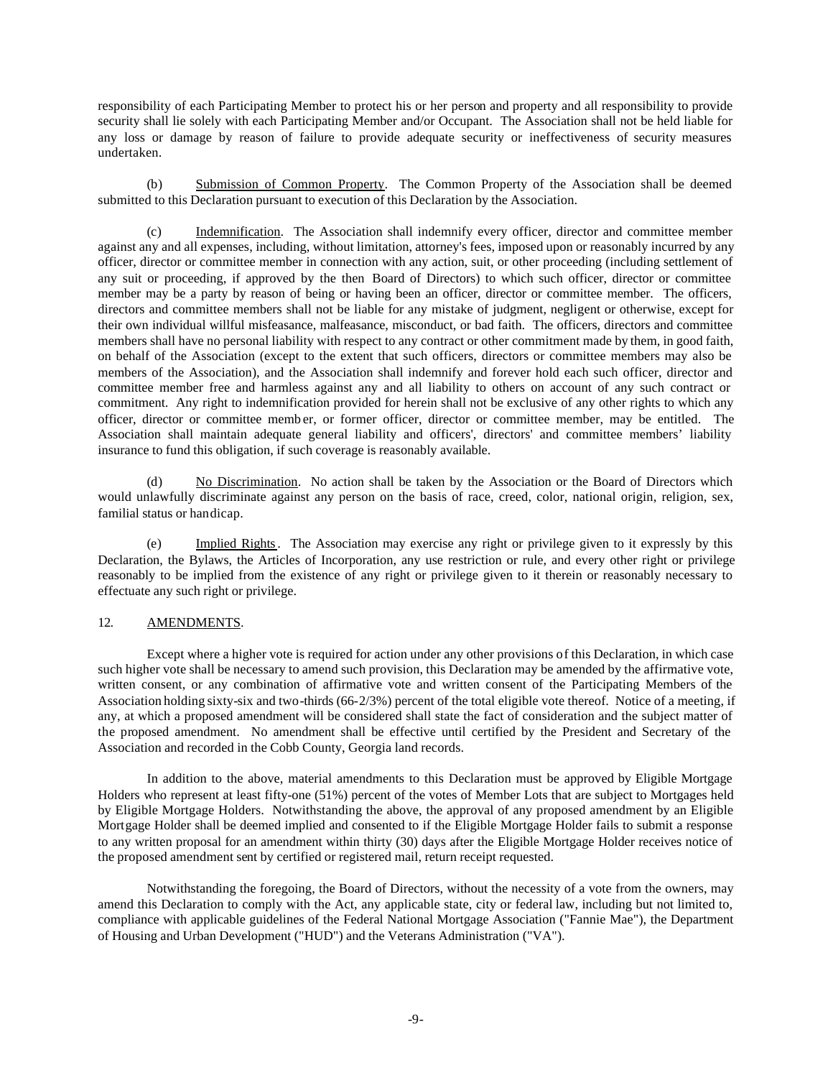responsibility of each Participating Member to protect his or her person and property and all responsibility to provide security shall lie solely with each Participating Member and/or Occupant. The Association shall not be held liable for any loss or damage by reason of failure to provide adequate security or ineffectiveness of security measures undertaken.

(b) Submission of Common Property. The Common Property of the Association shall be deemed submitted to this Declaration pursuant to execution of this Declaration by the Association.

(c) Indemnification. The Association shall indemnify every officer, director and committee member against any and all expenses, including, without limitation, attorney's fees, imposed upon or reasonably incurred by any officer, director or committee member in connection with any action, suit, or other proceeding (including settlement of any suit or proceeding, if approved by the then Board of Directors) to which such officer, director or committee member may be a party by reason of being or having been an officer, director or committee member. The officers, directors and committee members shall not be liable for any mistake of judgment, negligent or otherwise, except for their own individual willful misfeasance, malfeasance, misconduct, or bad faith. The officers, directors and committee members shall have no personal liability with respect to any contract or other commitment made by them, in good faith, on behalf of the Association (except to the extent that such officers, directors or committee members may also be members of the Association), and the Association shall indemnify and forever hold each such officer, director and committee member free and harmless against any and all liability to others on account of any such contract or commitment. Any right to indemnification provided for herein shall not be exclusive of any other rights to which any officer, director or committee memb er, or former officer, director or committee member, may be entitled. The Association shall maintain adequate general liability and officers', directors' and committee members' liability insurance to fund this obligation, if such coverage is reasonably available.

(d) No Discrimination. No action shall be taken by the Association or the Board of Directors which would unlawfully discriminate against any person on the basis of race, creed, color, national origin, religion, sex, familial status or handicap.

(e) Implied Rights. The Association may exercise any right or privilege given to it expressly by this Declaration, the Bylaws, the Articles of Incorporation, any use restriction or rule, and every other right or privilege reasonably to be implied from the existence of any right or privilege given to it therein or reasonably necessary to effectuate any such right or privilege.

#### 12. AMENDMENTS.

Except where a higher vote is required for action under any other provisions of this Declaration, in which case such higher vote shall be necessary to amend such provision, this Declaration may be amended by the affirmative vote, written consent, or any combination of affirmative vote and written consent of the Participating Members of the Association holding sixty-six and two-thirds (66-2/3%) percent of the total eligible vote thereof. Notice of a meeting, if any, at which a proposed amendment will be considered shall state the fact of consideration and the subject matter of the proposed amendment. No amendment shall be effective until certified by the President and Secretary of the Association and recorded in the Cobb County, Georgia land records.

In addition to the above, material amendments to this Declaration must be approved by Eligible Mortgage Holders who represent at least fifty-one (51%) percent of the votes of Member Lots that are subject to Mortgages held by Eligible Mortgage Holders. Notwithstanding the above, the approval of any proposed amendment by an Eligible Mortgage Holder shall be deemed implied and consented to if the Eligible Mortgage Holder fails to submit a response to any written proposal for an amendment within thirty (30) days after the Eligible Mortgage Holder receives notice of the proposed amendment sent by certified or registered mail, return receipt requested.

Notwithstanding the foregoing, the Board of Directors, without the necessity of a vote from the owners, may amend this Declaration to comply with the Act, any applicable state, city or federal law, including but not limited to, compliance with applicable guidelines of the Federal National Mortgage Association ("Fannie Mae"), the Department of Housing and Urban Development ("HUD") and the Veterans Administration ("VA").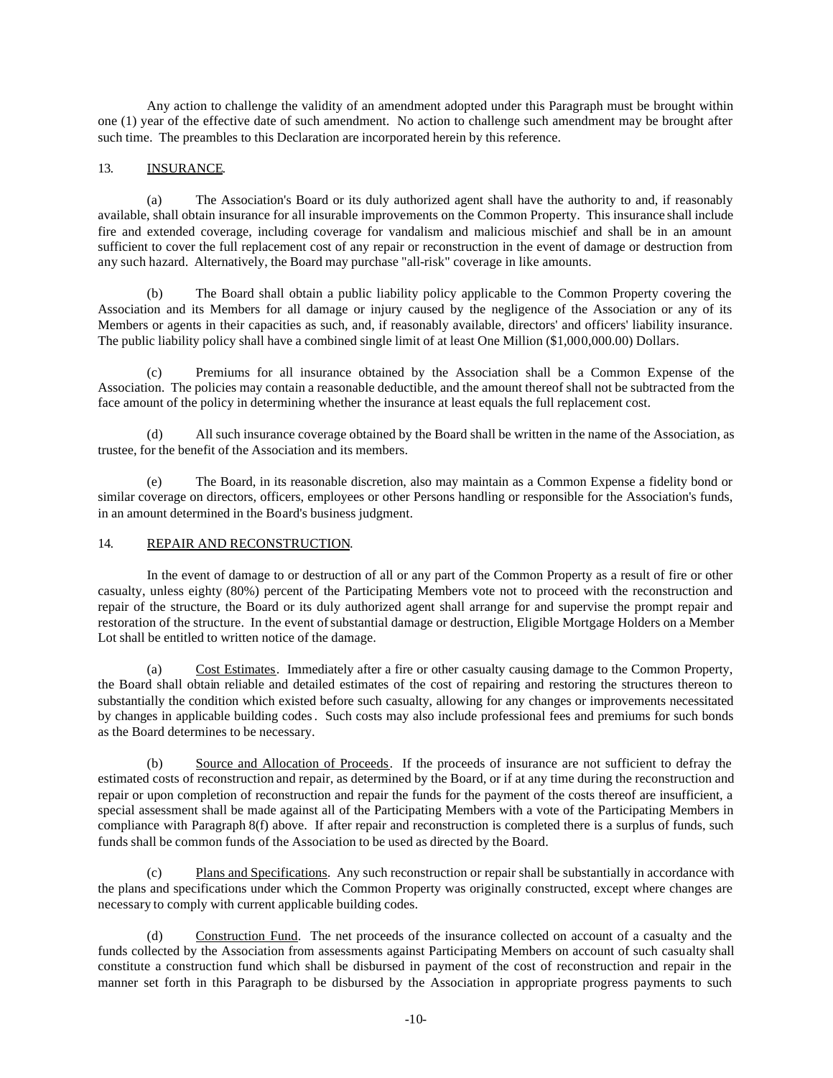Any action to challenge the validity of an amendment adopted under this Paragraph must be brought within one (1) year of the effective date of such amendment. No action to challenge such amendment may be brought after such time. The preambles to this Declaration are incorporated herein by this reference.

## 13. INSURANCE.

(a) The Association's Board or its duly authorized agent shall have the authority to and, if reasonably available, shall obtain insurance for all insurable improvements on the Common Property. This insurance shall include fire and extended coverage, including coverage for vandalism and malicious mischief and shall be in an amount sufficient to cover the full replacement cost of any repair or reconstruction in the event of damage or destruction from any such hazard. Alternatively, the Board may purchase "all-risk" coverage in like amounts.

(b) The Board shall obtain a public liability policy applicable to the Common Property covering the Association and its Members for all damage or injury caused by the negligence of the Association or any of its Members or agents in their capacities as such, and, if reasonably available, directors' and officers' liability insurance. The public liability policy shall have a combined single limit of at least One Million (\$1,000,000.00) Dollars.

(c) Premiums for all insurance obtained by the Association shall be a Common Expense of the Association. The policies may contain a reasonable deductible, and the amount thereof shall not be subtracted from the face amount of the policy in determining whether the insurance at least equals the full replacement cost.

(d) All such insurance coverage obtained by the Board shall be written in the name of the Association, as trustee, for the benefit of the Association and its members.

(e) The Board, in its reasonable discretion, also may maintain as a Common Expense a fidelity bond or similar coverage on directors, officers, employees or other Persons handling or responsible for the Association's funds, in an amount determined in the Board's business judgment.

#### 14. REPAIR AND RECONSTRUCTION.

In the event of damage to or destruction of all or any part of the Common Property as a result of fire or other casualty, unless eighty (80%) percent of the Participating Members vote not to proceed with the reconstruction and repair of the structure, the Board or its duly authorized agent shall arrange for and supervise the prompt repair and restoration of the structure. In the event of substantial damage or destruction, Eligible Mortgage Holders on a Member Lot shall be entitled to written notice of the damage.

(a) Cost Estimates. Immediately after a fire or other casualty causing damage to the Common Property, the Board shall obtain reliable and detailed estimates of the cost of repairing and restoring the structures thereon to substantially the condition which existed before such casualty, allowing for any changes or improvements necessitated by changes in applicable building codes. Such costs may also include professional fees and premiums for such bonds as the Board determines to be necessary.

(b) Source and Allocation of Proceeds. If the proceeds of insurance are not sufficient to defray the estimated costs of reconstruction and repair, as determined by the Board, or if at any time during the reconstruction and repair or upon completion of reconstruction and repair the funds for the payment of the costs thereof are insufficient, a special assessment shall be made against all of the Participating Members with a vote of the Participating Members in compliance with Paragraph 8(f) above. If after repair and reconstruction is completed there is a surplus of funds, such funds shall be common funds of the Association to be used as directed by the Board.

(c) Plans and Specifications. Any such reconstruction or repair shall be substantially in accordance with the plans and specifications under which the Common Property was originally constructed, except where changes are necessary to comply with current applicable building codes.

(d) Construction Fund. The net proceeds of the insurance collected on account of a casualty and the funds collected by the Association from assessments against Participating Members on account of such casualty shall constitute a construction fund which shall be disbursed in payment of the cost of reconstruction and repair in the manner set forth in this Paragraph to be disbursed by the Association in appropriate progress payments to such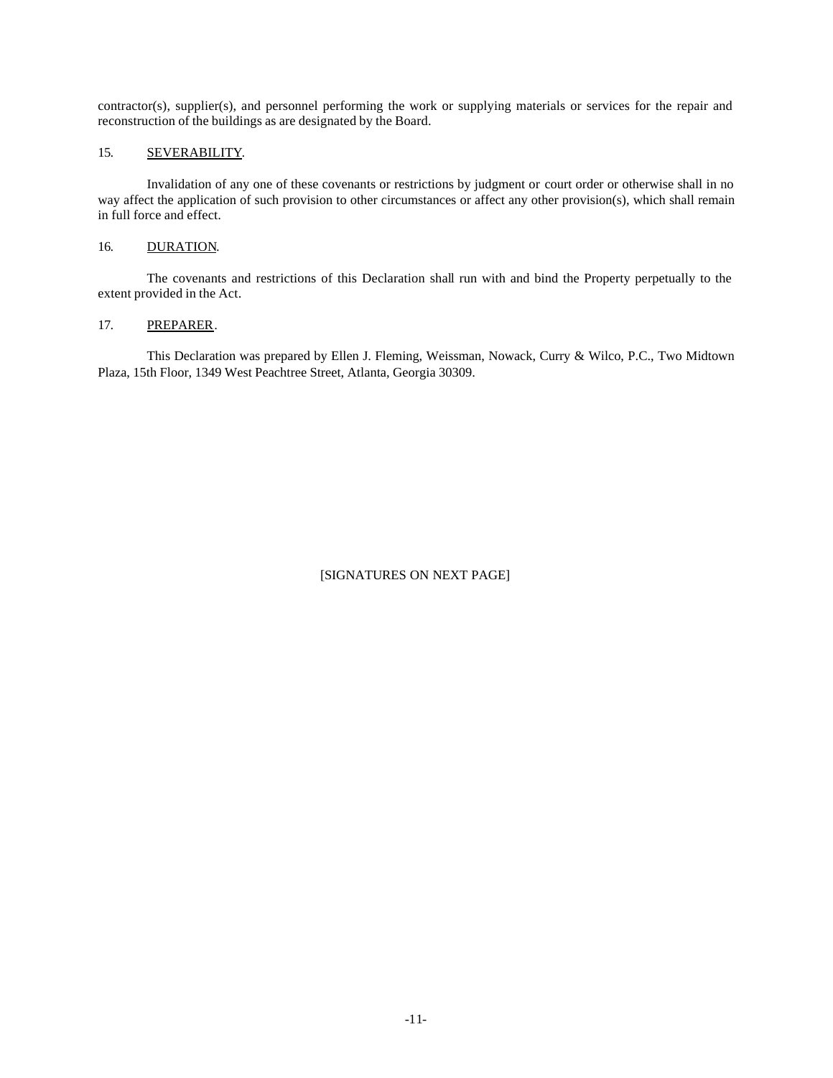contractor(s), supplier(s), and personnel performing the work or supplying materials or services for the repair and reconstruction of the buildings as are designated by the Board.

# 15. SEVERABILITY.

Invalidation of any one of these covenants or restrictions by judgment or court order or otherwise shall in no way affect the application of such provision to other circumstances or affect any other provision(s), which shall remain in full force and effect.

# 16. DURATION.

The covenants and restrictions of this Declaration shall run with and bind the Property perpetually to the extent provided in the Act.

# 17. PREPARER.

This Declaration was prepared by Ellen J. Fleming, Weissman, Nowack, Curry & Wilco, P.C., Two Midtown Plaza, 15th Floor, 1349 West Peachtree Street, Atlanta, Georgia 30309.

# [SIGNATURES ON NEXT PAGE]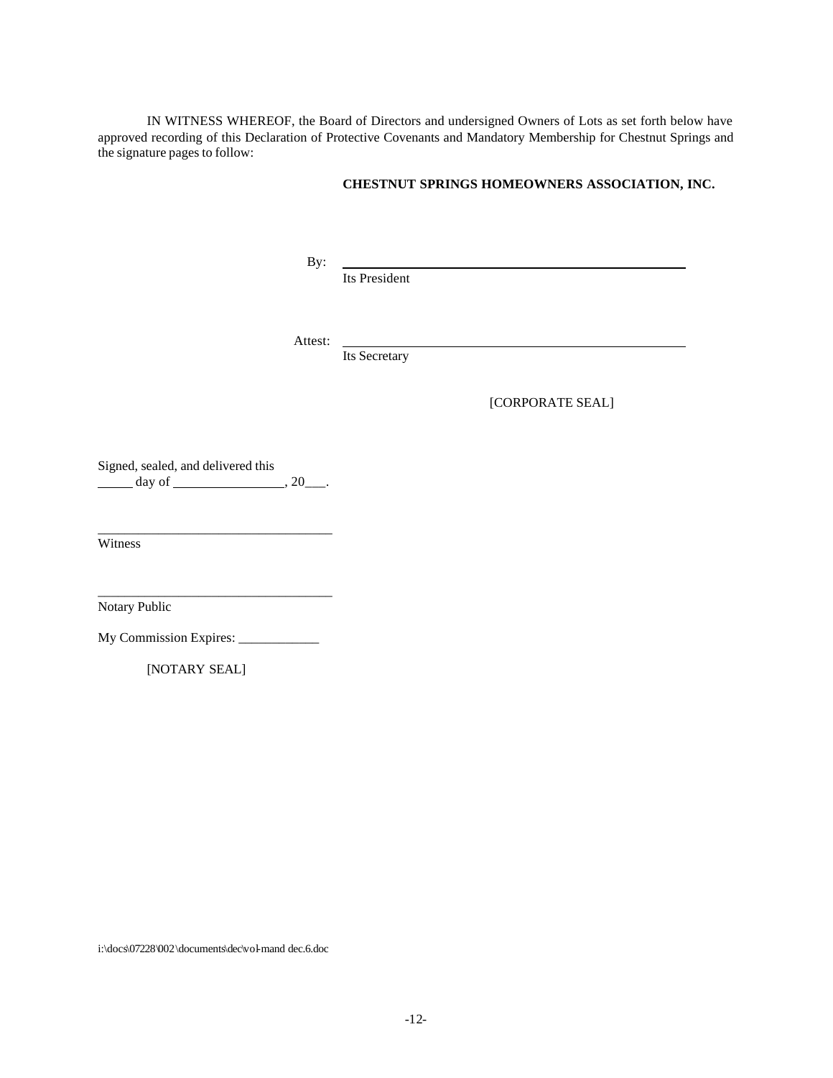IN WITNESS WHEREOF, the Board of Directors and undersigned Owners of Lots as set forth below have approved recording of this Declaration of Protective Covenants and Mandatory Membership for Chestnut Springs and the signature pages to follow:

### **CHESTNUT SPRINGS HOMEOWNERS ASSOCIATION, INC.**

By:

Its President

Attest:

Its Secretary

[CORPORATE SEAL]

Signed, sealed, and delivered this day of  $\frac{1}{2}$ , 20\_\_\_.

\_\_\_\_\_\_\_\_\_\_\_\_\_\_\_\_\_\_\_\_\_\_\_\_\_\_\_\_\_\_\_\_\_\_\_

\_\_\_\_\_\_\_\_\_\_\_\_\_\_\_\_\_\_\_\_\_\_\_\_\_\_\_\_\_\_\_\_\_\_\_

Witness

Notary Public

My Commission Expires: \_\_\_\_\_\_\_\_\_\_\_\_\_\_\_

[NOTARY SEAL]

i:\docs\07228\002\documents\dec\vol-mand dec.6.doc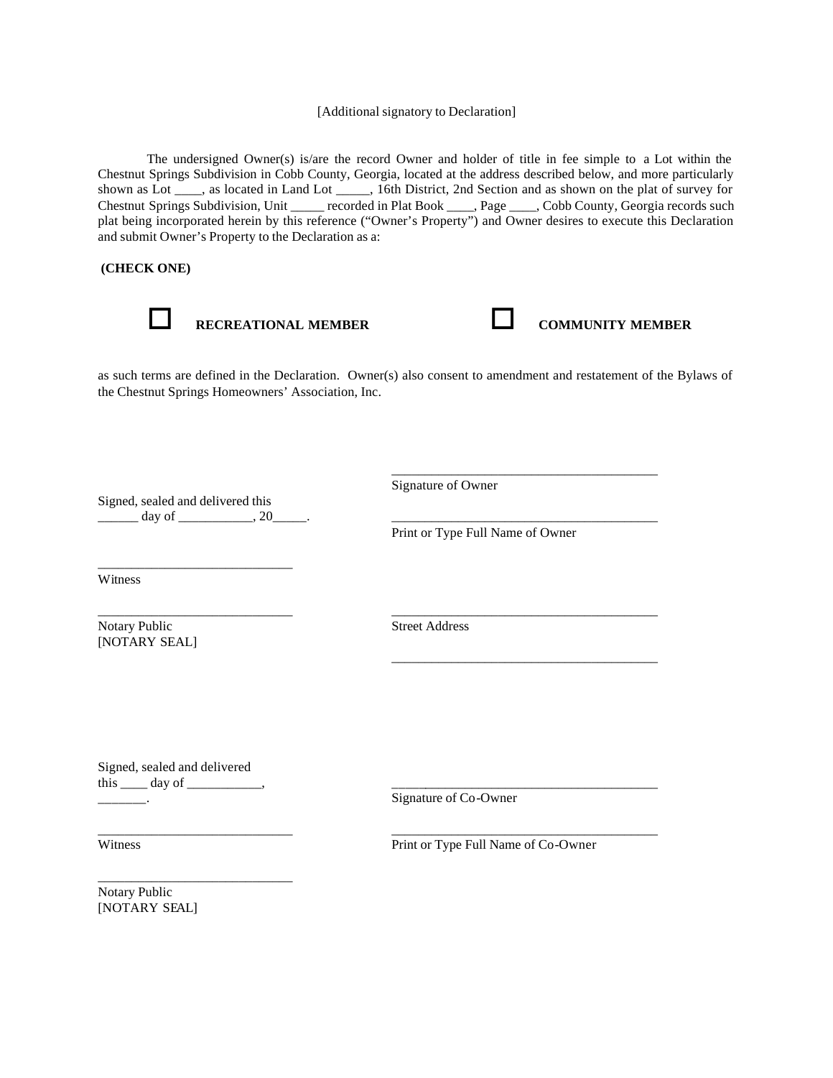### [Additional signatory to Declaration]

The undersigned Owner(s) is/are the record Owner and holder of title in fee simple to a Lot within the Chestnut Springs Subdivision in Cobb County, Georgia, located at the address described below, and more particularly shown as Lot \_\_\_\_, as located in Land Lot \_\_\_\_\_, 16th District, 2nd Section and as shown on the plat of survey for Chestnut Springs Subdivision, Unit \_\_\_\_\_ recorded in Plat Book \_\_\_\_, Page \_\_\_\_, Cobb County, Georgia records such plat being incorporated herein by this reference ("Owner's Property") and Owner desires to execute this Declaration and submit Owner's Property to the Declaration as a:

 **(CHECK ONE)**



o **RECREATIONAL MEMBER** o **COMMUNITY MEMBER**

\_\_\_\_\_\_\_\_\_\_\_\_\_\_\_\_\_\_\_\_\_\_\_\_\_\_\_\_\_\_\_\_\_\_\_\_\_\_\_\_

\_\_\_\_\_\_\_\_\_\_\_\_\_\_\_\_\_\_\_\_\_\_\_\_\_\_\_\_\_\_\_\_\_\_\_\_\_\_\_\_

as such terms are defined in the Declaration. Owner(s) also consent to amendment and restatement of the Bylaws of the Chestnut Springs Homeowners' Association, Inc.

Signed, sealed and delivered this  $\frac{day \text{ of }_{\text{max}} 20}{x}$ .

\_\_\_\_\_\_\_\_\_\_\_\_\_\_\_\_\_\_\_\_\_\_\_\_\_\_\_\_\_

Signature of Owner

Print or Type Full Name of Owner

Witness

Notary Public Street Address [NOTARY SEAL]

\_\_\_\_\_\_\_\_\_\_\_\_\_\_\_\_\_\_\_\_\_\_\_\_\_\_\_\_\_ \_\_\_\_\_\_\_\_\_\_\_\_\_\_\_\_\_\_\_\_\_\_\_\_\_\_\_\_\_\_\_\_\_\_\_\_\_\_\_\_

\_\_\_\_\_\_\_\_\_\_\_\_\_\_\_\_\_\_\_\_\_\_\_\_\_\_\_\_\_ \_\_\_\_\_\_\_\_\_\_\_\_\_\_\_\_\_\_\_\_\_\_\_\_\_\_\_\_\_\_\_\_\_\_\_\_\_\_\_\_

Signed, sealed and delivered this  $\rule{1em}{0.15mm}$  day of  $\rule{1em}{0.15mm}$ .

\_\_\_\_\_\_\_\_\_\_\_\_\_\_\_\_\_\_\_\_\_\_\_\_\_\_\_\_\_

\_\_\_\_\_\_\_. Signature of Co-Owner

Witness Print or Type Full Name of Co-Owner

Notary Public [NOTARY SEAL]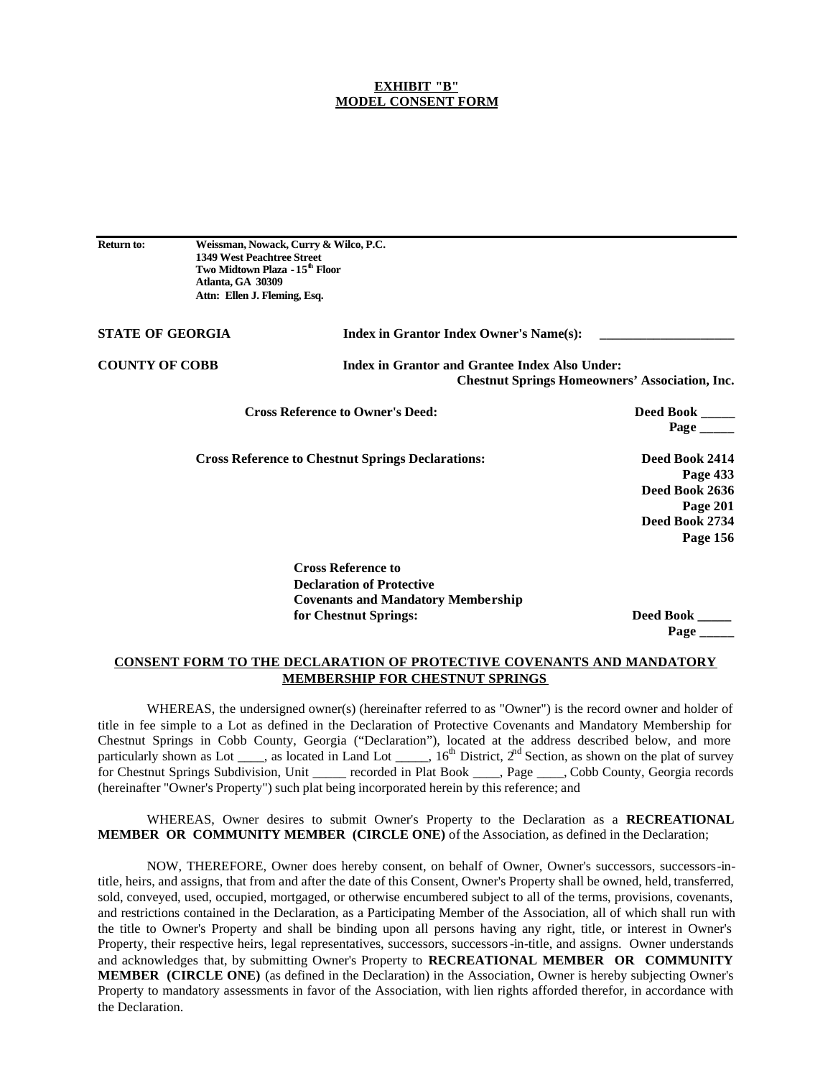#### **EXHIBIT "B" MODEL CONSENT FORM**

**Return to: Weissman, Nowack, Curry & Wilco, P.C. 1349 West Peachtree Street Two Midtown Plaza - 15th Floor Atlanta, GA 30309 Attn: Ellen J. Fleming, Esq.**

| <b>STATE OF GEORGIA</b> |                                         | <b>Index in Grantor Index Owner's Name(s):</b>                                                          |  |  |
|-------------------------|-----------------------------------------|---------------------------------------------------------------------------------------------------------|--|--|
| <b>COUNTY OF COBB</b>   |                                         | Index in Grantor and Grantee Index Also Under:<br><b>Chestnut Springs Homeowners' Association, Inc.</b> |  |  |
|                         | <b>Cross Reference to Owner's Deed:</b> | Deed Book _____<br>Page                                                                                 |  |  |

**Cross Reference to Chestnut Springs Declarations: Deed Book 2414**

**Page 433 Deed Book 2636 Page 201 Deed Book 2734 Page 156**

**Cross Reference to Declaration of Protective Covenants and Mandatory Membership for Chestnut Springs:** Deed Book

 **Page \_\_\_\_\_**

### **CONSENT FORM TO THE DECLARATION OF PROTECTIVE COVENANTS AND MANDATORY MEMBERSHIP FOR CHESTNUT SPRINGS**

WHEREAS, the undersigned owner(s) (hereinafter referred to as "Owner") is the record owner and holder of title in fee simple to a Lot as defined in the Declaration of Protective Covenants and Mandatory Membership for Chestnut Springs in Cobb County, Georgia ("Declaration"), located at the address described below, and more particularly shown as Lot  $\frac{1}{\sqrt{2}}$ , as located in Land Lot  $\frac{1}{\sqrt{2}}$ ,  $16^{\text{th}}$  District,  $2^{\text{rd}}$  Section, as shown on the plat of survey for Chestnut Springs Subdivision, Unit \_\_\_\_\_ recorded in Plat Book \_\_\_\_, Page \_\_\_\_, Cobb County, Georgia records (hereinafter "Owner's Property") such plat being incorporated herein by this reference; and

WHEREAS, Owner desires to submit Owner's Property to the Declaration as a **RECREATIONAL MEMBER OR COMMUNITY MEMBER (CIRCLE ONE)** of the Association, as defined in the Declaration;

NOW, THEREFORE, Owner does hereby consent, on behalf of Owner, Owner's successors, successors-intitle, heirs, and assigns, that from and after the date of this Consent, Owner's Property shall be owned, held, transferred, sold, conveyed, used, occupied, mortgaged, or otherwise encumbered subject to all of the terms, provisions, covenants, and restrictions contained in the Declaration, as a Participating Member of the Association, all of which shall run with the title to Owner's Property and shall be binding upon all persons having any right, title, or interest in Owner's Property, their respective heirs, legal representatives, successors, successors-in-title, and assigns. Owner understands and acknowledges that, by submitting Owner's Property to **RECREATIONAL MEMBER OR COMMUNITY MEMBER (CIRCLE ONE)** (as defined in the Declaration) in the Association, Owner is hereby subjecting Owner's Property to mandatory assessments in favor of the Association, with lien rights afforded therefor, in accordance with the Declaration.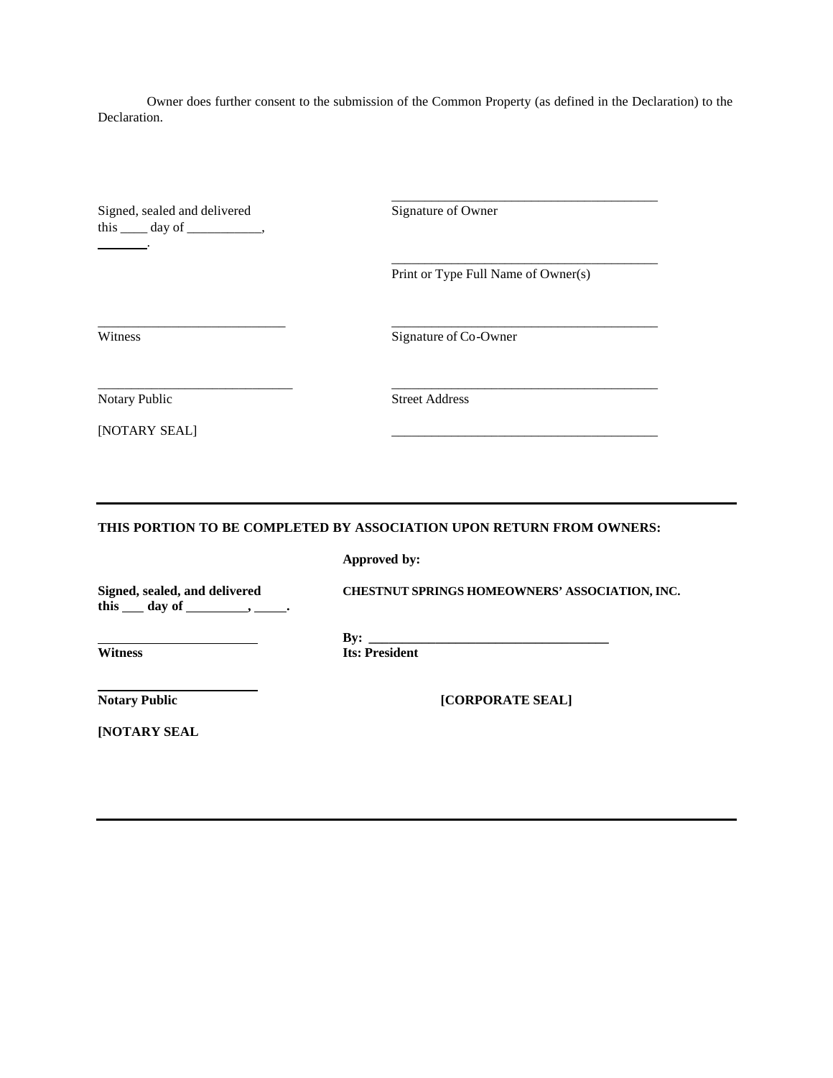Owner does further consent to the submission of the Common Property (as defined in the Declaration) to the Declaration.

Signed, sealed and delivered Signature of Owner this  $\rule{1em}{0.15mm}$  day of  $\rule{1em}{0.15mm}$ . .

Print or Type Full Name of Owner(s)

\_\_\_\_\_\_\_\_\_\_\_\_\_\_\_\_\_\_\_\_\_\_\_\_\_\_\_\_\_\_\_\_\_\_\_\_\_\_\_\_

\_\_\_\_\_\_\_\_\_\_\_\_\_\_\_\_\_\_\_\_\_\_\_\_\_\_\_\_\_\_\_\_\_\_\_\_\_\_\_\_

Witness Signature of Co-Owner

[NOTARY SEAL]

Notary Public Street Address

**THIS PORTION TO BE COMPLETED BY ASSOCIATION UPON RETURN FROM OWNERS:**

\_\_\_\_\_\_\_\_\_\_\_\_\_\_\_\_\_\_\_\_\_\_\_\_\_\_\_\_ \_\_\_\_\_\_\_\_\_\_\_\_\_\_\_\_\_\_\_\_\_\_\_\_\_\_\_\_\_\_\_\_\_\_\_\_\_\_\_\_

\_\_\_\_\_\_\_\_\_\_\_\_\_\_\_\_\_\_\_\_\_\_\_\_\_\_\_\_\_ \_\_\_\_\_\_\_\_\_\_\_\_\_\_\_\_\_\_\_\_\_\_\_\_\_\_\_\_\_\_\_\_\_\_\_\_\_\_\_\_

**Approved by:**

this \_\_ day of \_\_\_\_\_\_\_\_, \_\_\_\_\_\_.

**Signed, sealed, and delivered CHESTNUT SPRINGS HOMEOWNERS' ASSOCIATION, INC.**

**By:** <u>Its: Preside</u> **Its: President** 

**Notary Public [CORPORATE SEAL]** 

**[NOTARY SEAL**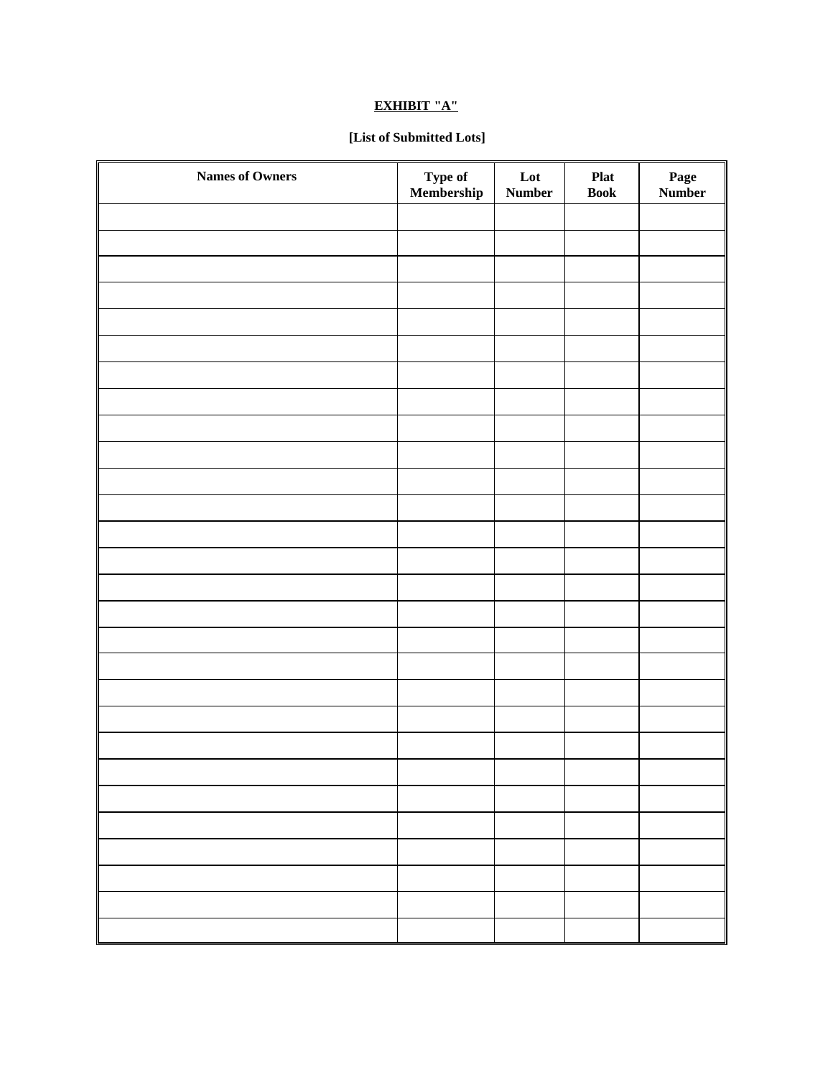# **EXHIBIT "A"**

# **[List of Submitted Lots]**

| <b>Names of Owners</b> | Type of<br>Membership | $\mathbf{L}\mathbf{ot}$<br>Number | <b>Plat</b><br><b>Book</b> | Page<br>Number |
|------------------------|-----------------------|-----------------------------------|----------------------------|----------------|
|                        |                       |                                   |                            |                |
|                        |                       |                                   |                            |                |
|                        |                       |                                   |                            |                |
|                        |                       |                                   |                            |                |
|                        |                       |                                   |                            |                |
|                        |                       |                                   |                            |                |
|                        |                       |                                   |                            |                |
|                        |                       |                                   |                            |                |
|                        |                       |                                   |                            |                |
|                        |                       |                                   |                            |                |
|                        |                       |                                   |                            |                |
|                        |                       |                                   |                            |                |
|                        |                       |                                   |                            |                |
|                        |                       |                                   |                            |                |
|                        |                       |                                   |                            |                |
|                        |                       |                                   |                            |                |
|                        |                       |                                   |                            |                |
|                        |                       |                                   |                            |                |
|                        |                       |                                   |                            |                |
|                        |                       |                                   |                            |                |
|                        |                       |                                   |                            |                |
|                        |                       |                                   |                            |                |
|                        |                       |                                   |                            |                |
|                        |                       |                                   |                            |                |
|                        |                       |                                   |                            |                |
|                        |                       |                                   |                            |                |
|                        |                       |                                   |                            |                |
|                        |                       |                                   |                            |                |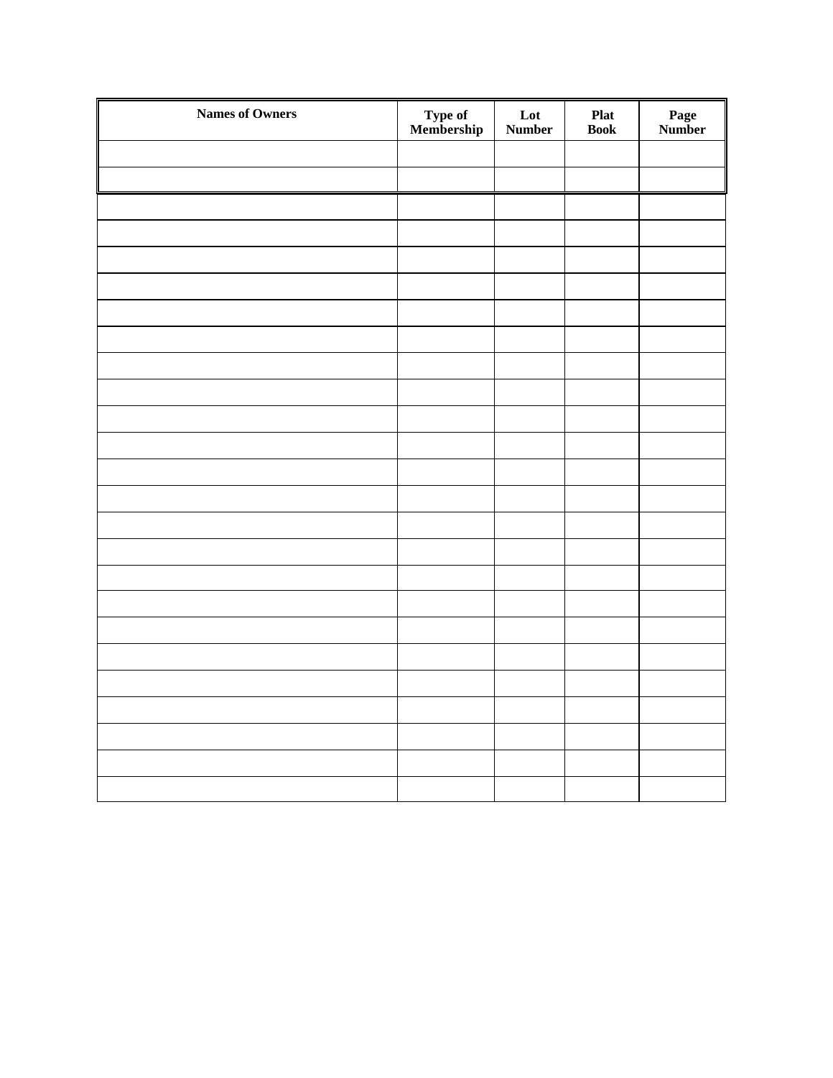| <b>Names of Owners</b> | Type of<br>Membership | Lot<br>Number | <b>Plat</b><br><b>Book</b> | Page<br>Number |
|------------------------|-----------------------|---------------|----------------------------|----------------|
|                        |                       |               |                            |                |
|                        |                       |               |                            |                |
|                        |                       |               |                            |                |
|                        |                       |               |                            |                |
|                        |                       |               |                            |                |
|                        |                       |               |                            |                |
|                        |                       |               |                            |                |
|                        |                       |               |                            |                |
|                        |                       |               |                            |                |
|                        |                       |               |                            |                |
|                        |                       |               |                            |                |
|                        |                       |               |                            |                |
|                        |                       |               |                            |                |
|                        |                       |               |                            |                |
|                        |                       |               |                            |                |
|                        |                       |               |                            |                |
|                        |                       |               |                            |                |
|                        |                       |               |                            |                |
|                        |                       |               |                            |                |
|                        |                       |               |                            |                |
|                        |                       |               |                            |                |
|                        |                       |               |                            |                |
|                        |                       |               |                            |                |
|                        |                       |               |                            |                |
|                        |                       |               |                            |                |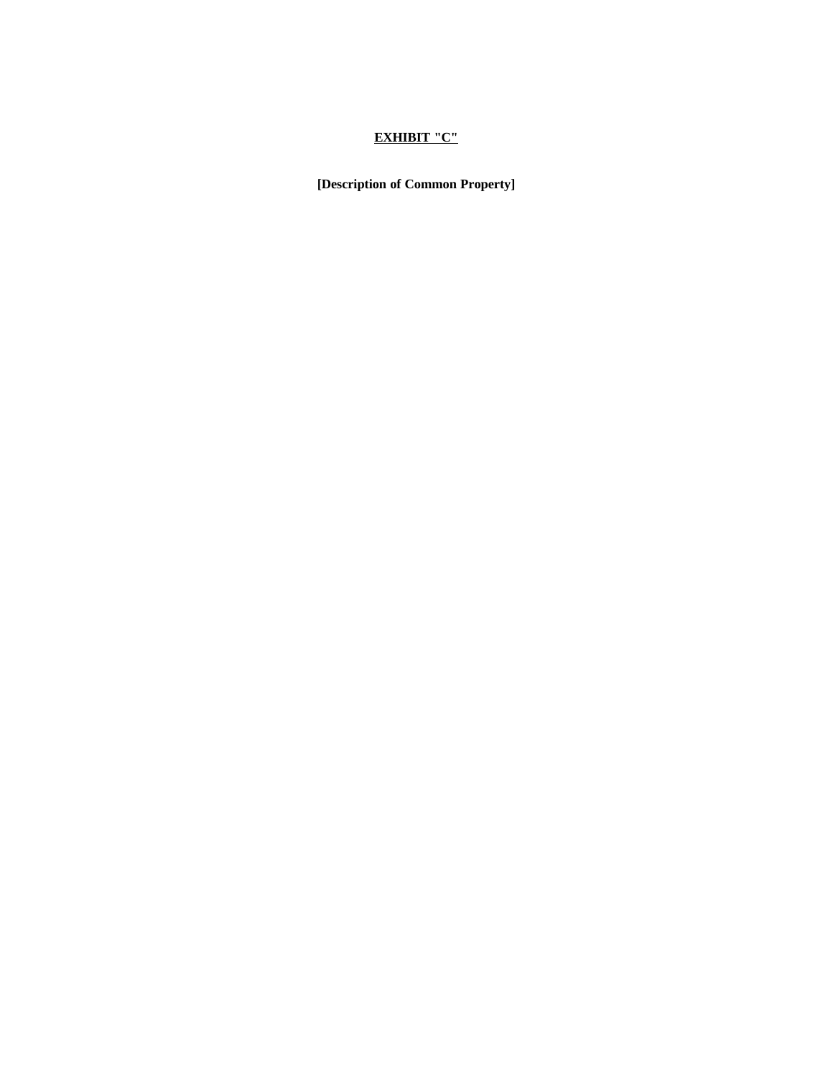# **EXHIBIT "C"**

**[Description of Common Property]**